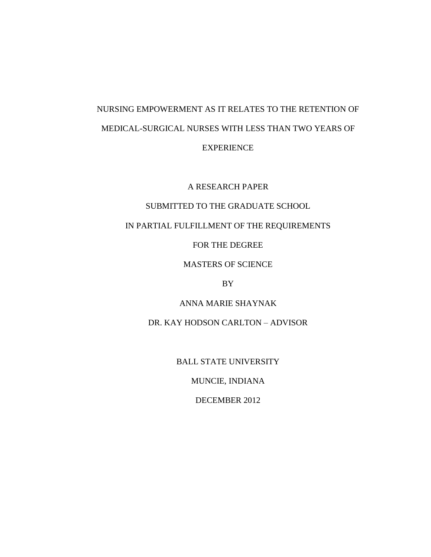# NURSING EMPOWERMENT AS IT RELATES TO THE RETENTION OF MEDICAL-SURGICAL NURSES WITH LESS THAN TWO YEARS OF EXPERIENCE

A RESEARCH PAPER

# SUBMITTED TO THE GRADUATE SCHOOL

# IN PARTIAL FULFILLMENT OF THE REQUIREMENTS

FOR THE DEGREE

MASTERS OF SCIENCE

BY

ANNA MARIE SHAYNAK

DR. KAY HODSON CARLTON – ADVISOR

BALL STATE UNIVERSITY

MUNCIE, INDIANA

DECEMBER 2012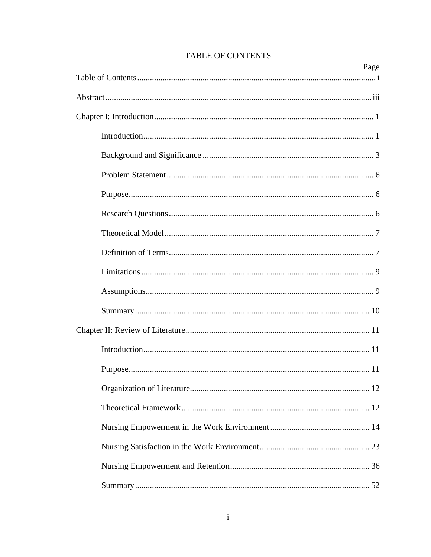<span id="page-1-0"></span>

| Page |
|------|
|      |
|      |
|      |
|      |
|      |
|      |
|      |
|      |
|      |
|      |
|      |
|      |
|      |
|      |
|      |
|      |
|      |
|      |
|      |
|      |
|      |
|      |

# TABLE OF CONTENTS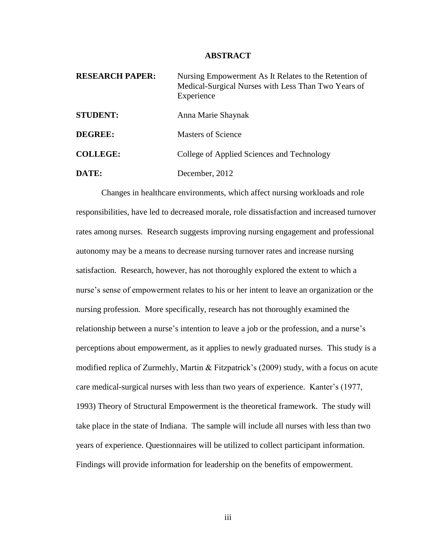#### **ABSTRACT**

<span id="page-3-0"></span>

| <b>RESEARCH PAPER:</b> | Nursing Empowerment As It Relates to the Retention of<br>Medical-Surgical Nurses with Less Than Two Years of<br>Experience |
|------------------------|----------------------------------------------------------------------------------------------------------------------------|
| <b>STUDENT:</b>        | Anna Marie Shaynak                                                                                                         |
| <b>DEGREE:</b>         | <b>Masters of Science</b>                                                                                                  |
| <b>COLLEGE:</b>        | College of Applied Sciences and Technology                                                                                 |
| DATE:                  | December, 2012                                                                                                             |

Changes in healthcare environments, which affect nursing workloads and role responsibilities, have led to decreased morale, role dissatisfaction and increased turnover rates among nurses. Research suggests improving nursing engagement and professional autonomy may be a means to decrease nursing turnover rates and increase nursing satisfaction. Research, however, has not thoroughly explored the extent to which a nurse's sense of empowerment relates to his or her intent to leave an organization or the nursing profession. More specifically, research has not thoroughly examined the relationship between a nurse's intention to leave a job or the profession, and a nurse's perceptions about empowerment, as it applies to newly graduated nurses. This study is a modified replica of Zurmehly, Martin & Fitzpatrick's (2009) study, with a focus on acute care medical-surgical nurses with less than two years of experience. Kanter's (1977, 1993) Theory of Structural Empowerment is the theoretical framework. The study will take place in the state of Indiana. The sample will include all nurses with less than two years of experience. Questionnaires will be utilized to collect participant information. Findings will provide information for leadership on the benefits of empowerment.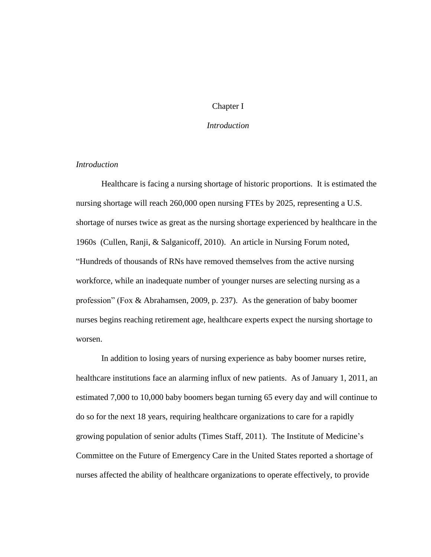# Chapter I

# *Introduction*

# <span id="page-4-1"></span><span id="page-4-0"></span>*Introduction*

Healthcare is facing a nursing shortage of historic proportions. It is estimated the nursing shortage will reach 260,000 open nursing FTEs by 2025, representing a U.S. shortage of nurses twice as great as the nursing shortage experienced by healthcare in the 1960s (Cullen, Ranji, & Salganicoff, 2010). An article in Nursing Forum noted, "Hundreds of thousands of RNs have removed themselves from the active nursing workforce, while an inadequate number of younger nurses are selecting nursing as a profession" (Fox & Abrahamsen, 2009, p. 237). As the generation of baby boomer nurses begins reaching retirement age, healthcare experts expect the nursing shortage to worsen.

In addition to losing years of nursing experience as baby boomer nurses retire, healthcare institutions face an alarming influx of new patients. As of January 1, 2011, an estimated 7,000 to 10,000 baby boomers began turning 65 every day and will continue to do so for the next 18 years, requiring healthcare organizations to care for a rapidly growing population of senior adults (Times Staff, 2011). The Institute of Medicine's Committee on the Future of Emergency Care in the United States reported a shortage of nurses affected the ability of healthcare organizations to operate effectively, to provide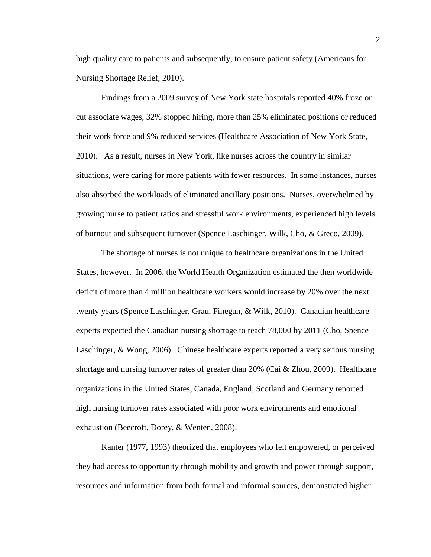high quality care to patients and subsequently, to ensure patient safety (Americans for Nursing Shortage Relief, 2010).

Findings from a 2009 survey of New York state hospitals reported 40% froze or cut associate wages, 32% stopped hiring, more than 25% eliminated positions or reduced their work force and 9% reduced services (Healthcare Association of New York State, 2010). As a result, nurses in New York, like nurses across the country in similar situations, were caring for more patients with fewer resources. In some instances, nurses also absorbed the workloads of eliminated ancillary positions. Nurses, overwhelmed by growing nurse to patient ratios and stressful work environments, experienced high levels of burnout and subsequent turnover (Spence Laschinger, Wilk, Cho, & Greco, 2009).

The shortage of nurses is not unique to healthcare organizations in the United States, however. In 2006, the World Health Organization estimated the then worldwide deficit of more than 4 million healthcare workers would increase by 20% over the next twenty years (Spence Laschinger, Grau, Finegan, & Wilk, 2010). Canadian healthcare experts expected the Canadian nursing shortage to reach 78,000 by 2011 (Cho, Spence Laschinger, & Wong, 2006). Chinese healthcare experts reported a very serious nursing shortage and nursing turnover rates of greater than 20% (Cai & Zhou, 2009). Healthcare organizations in the United States, Canada, England, Scotland and Germany reported high nursing turnover rates associated with poor work environments and emotional exhaustion (Beecroft, Dorey, & Wenten, 2008).

Kanter (1977, 1993) theorized that employees who felt empowered, or perceived they had access to opportunity through mobility and growth and power through support, resources and information from both formal and informal sources, demonstrated higher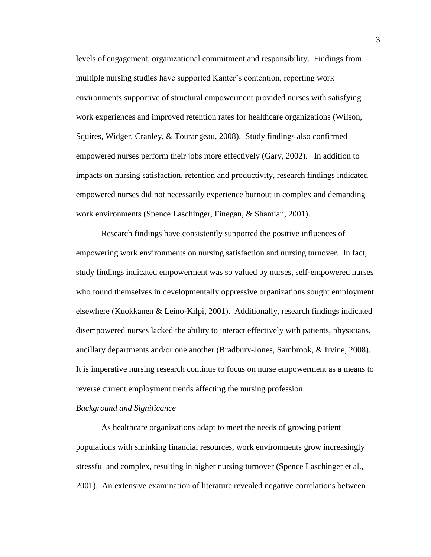levels of engagement, organizational commitment and responsibility. Findings from multiple nursing studies have supported Kanter's contention, reporting work environments supportive of structural empowerment provided nurses with satisfying work experiences and improved retention rates for healthcare organizations (Wilson, Squires, Widger, Cranley, & Tourangeau, 2008). Study findings also confirmed empowered nurses perform their jobs more effectively (Gary, 2002). In addition to impacts on nursing satisfaction, retention and productivity, research findings indicated empowered nurses did not necessarily experience burnout in complex and demanding work environments (Spence Laschinger, Finegan, & Shamian, 2001).

Research findings have consistently supported the positive influences of empowering work environments on nursing satisfaction and nursing turnover. In fact, study findings indicated empowerment was so valued by nurses, self-empowered nurses who found themselves in developmentally oppressive organizations sought employment elsewhere (Kuokkanen & Leino-Kilpi, 2001). Additionally, research findings indicated disempowered nurses lacked the ability to interact effectively with patients, physicians, ancillary departments and/or one another (Bradbury-Jones, Sambrook, & Irvine, 2008). It is imperative nursing research continue to focus on nurse empowerment as a means to reverse current employment trends affecting the nursing profession.

#### <span id="page-6-0"></span>*Background and Significance*

As healthcare organizations adapt to meet the needs of growing patient populations with shrinking financial resources, work environments grow increasingly stressful and complex, resulting in higher nursing turnover (Spence Laschinger et al., 2001). An extensive examination of literature revealed negative correlations between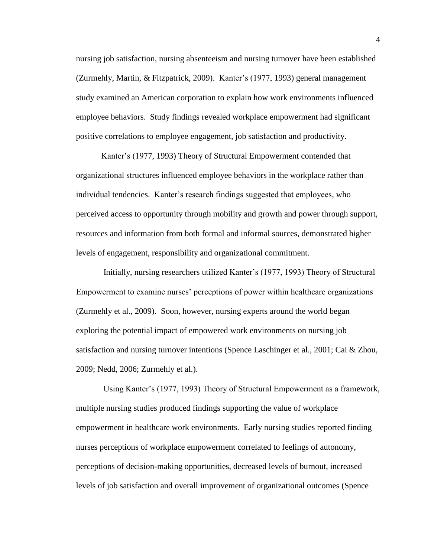nursing job satisfaction, nursing absenteeism and nursing turnover have been established (Zurmehly, Martin, & Fitzpatrick, 2009). Kanter's (1977, 1993) general management study examined an American corporation to explain how work environments influenced employee behaviors. Study findings revealed workplace empowerment had significant positive correlations to employee engagement, job satisfaction and productivity.

Kanter's (1977, 1993) Theory of Structural Empowerment contended that organizational structures influenced employee behaviors in the workplace rather than individual tendencies. Kanter's research findings suggested that employees, who perceived access to opportunity through mobility and growth and power through support, resources and information from both formal and informal sources, demonstrated higher levels of engagement, responsibility and organizational commitment.

Initially, nursing researchers utilized Kanter's (1977, 1993) Theory of Structural Empowerment to examine nurses' perceptions of power within healthcare organizations (Zurmehly et al., 2009). Soon, however, nursing experts around the world began exploring the potential impact of empowered work environments on nursing job satisfaction and nursing turnover intentions (Spence Laschinger et al., 2001; Cai & Zhou, 2009; Nedd, 2006; Zurmehly et al.).

Using Kanter's (1977, 1993) Theory of Structural Empowerment as a framework, multiple nursing studies produced findings supporting the value of workplace empowerment in healthcare work environments. Early nursing studies reported finding nurses perceptions of workplace empowerment correlated to feelings of autonomy, perceptions of decision-making opportunities, decreased levels of burnout, increased levels of job satisfaction and overall improvement of organizational outcomes (Spence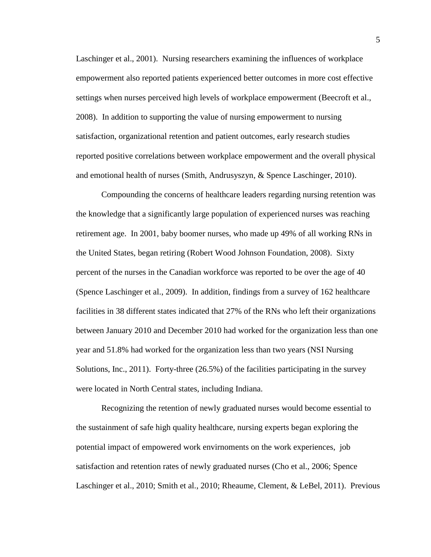Laschinger et al., 2001). Nursing researchers examining the influences of workplace empowerment also reported patients experienced better outcomes in more cost effective settings when nurses perceived high levels of workplace empowerment (Beecroft et al., 2008). In addition to supporting the value of nursing empowerment to nursing satisfaction, organizational retention and patient outcomes, early research studies reported positive correlations between workplace empowerment and the overall physical and emotional health of nurses (Smith, Andrusyszyn, & Spence Laschinger, 2010).

Compounding the concerns of healthcare leaders regarding nursing retention was the knowledge that a significantly large population of experienced nurses was reaching retirement age. In 2001, baby boomer nurses, who made up 49% of all working RNs in the United States, began retiring (Robert Wood Johnson Foundation, 2008). Sixty percent of the nurses in the Canadian workforce was reported to be over the age of 40 (Spence Laschinger et al., 2009). In addition, findings from a survey of 162 healthcare facilities in 38 different states indicated that 27% of the RNs who left their organizations between January 2010 and December 2010 had worked for the organization less than one year and 51.8% had worked for the organization less than two years (NSI Nursing Solutions, Inc., 2011). Forty-three (26.5%) of the facilities participating in the survey were located in North Central states, including Indiana.

Recognizing the retention of newly graduated nurses would become essential to the sustainment of safe high quality healthcare, nursing experts began exploring the potential impact of empowered work envirnoments on the work experiences, job satisfaction and retention rates of newly graduated nurses (Cho et al., 2006; Spence Laschinger et al., 2010; Smith et al., 2010; Rheaume, Clement, & LeBel, 2011). Previous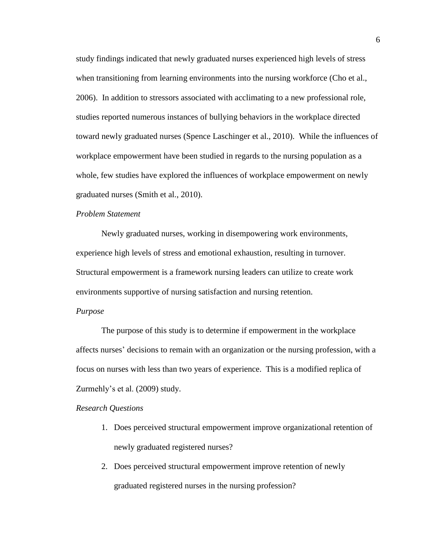study findings indicated that newly graduated nurses experienced high levels of stress when transitioning from learning environments into the nursing workforce (Cho et al., 2006). In addition to stressors associated with acclimating to a new professional role, studies reported numerous instances of bullying behaviors in the workplace directed toward newly graduated nurses (Spence Laschinger et al., 2010). While the influences of workplace empowerment have been studied in regards to the nursing population as a whole, few studies have explored the influences of workplace empowerment on newly graduated nurses (Smith et al., 2010).

## <span id="page-9-0"></span>*Problem Statement*

Newly graduated nurses, working in disempowering work environments, experience high levels of stress and emotional exhaustion, resulting in turnover. Structural empowerment is a framework nursing leaders can utilize to create work environments supportive of nursing satisfaction and nursing retention.

#### <span id="page-9-1"></span>*Purpose*

The purpose of this study is to determine if empowerment in the workplace affects nurses' decisions to remain with an organization or the nursing profession, with a focus on nurses with less than two years of experience. This is a modified replica of Zurmehly's et al. (2009) study.

#### <span id="page-9-2"></span>*Research Questions*

- 1. Does perceived structural empowerment improve organizational retention of newly graduated registered nurses?
- 2. Does perceived structural empowerment improve retention of newly graduated registered nurses in the nursing profession?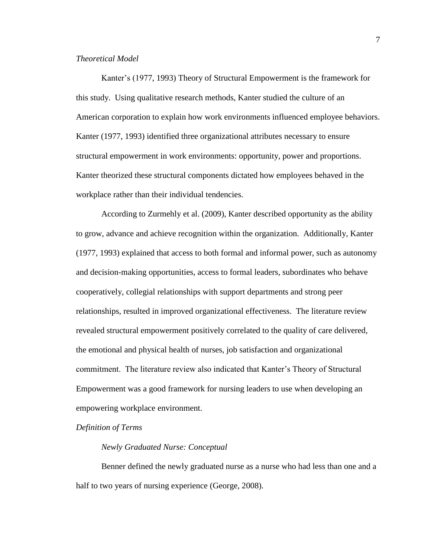# <span id="page-10-0"></span>*Theoretical Model*

Kanter's (1977, 1993) Theory of Structural Empowerment is the framework for this study. Using qualitative research methods, Kanter studied the culture of an American corporation to explain how work environments influenced employee behaviors. Kanter (1977, 1993) identified three organizational attributes necessary to ensure structural empowerment in work environments: opportunity, power and proportions. Kanter theorized these structural components dictated how employees behaved in the workplace rather than their individual tendencies.

According to Zurmehly et al. (2009), Kanter described opportunity as the ability to grow, advance and achieve recognition within the organization. Additionally, Kanter (1977, 1993) explained that access to both formal and informal power, such as autonomy and decision-making opportunities, access to formal leaders, subordinates who behave cooperatively, collegial relationships with support departments and strong peer relationships, resulted in improved organizational effectiveness. The literature review revealed structural empowerment positively correlated to the quality of care delivered, the emotional and physical health of nurses, job satisfaction and organizational commitment. The literature review also indicated that Kanter's Theory of Structural Empowerment was a good framework for nursing leaders to use when developing an empowering workplace environment.

#### <span id="page-10-1"></span>*Definition of Terms*

#### *Newly Graduated Nurse: Conceptual*

Benner defined the newly graduated nurse as a nurse who had less than one and a half to two years of nursing experience (George, 2008).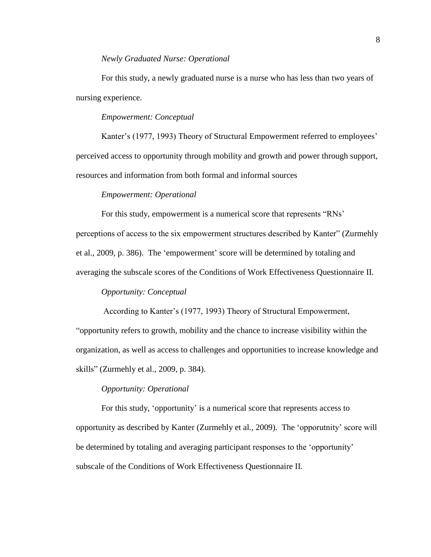#### *Newly Graduated Nurse: Operational*

For this study, a newly graduated nurse is a nurse who has less than two years of nursing experience.

## *Empowerment: Conceptual*

Kanter's (1977, 1993) Theory of Structural Empowerment referred to employees' perceived access to opportunity through mobility and growth and power through support, resources and information from both formal and informal sources

#### *Empowerment: Operational*

For this study, empowerment is a numerical score that represents "RNs' perceptions of access to the six empowerment structures described by Kanter" (Zurmehly et al., 2009, p. 386). The 'empowerment' score will be determined by totaling and averaging the subscale scores of the Conditions of Work Effectiveness Questionnaire II.

# *Opportunity: Conceptual*

According to Kanter's (1977, 1993) Theory of Structural Empowerment,

"opportunity refers to growth, mobility and the chance to increase visibility within the organization, as well as access to challenges and opportunities to increase knowledge and skills" (Zurmehly et al., 2009, p. 384).

# *Opportunity: Operational*

For this study, 'opportunity' is a numerical score that represents access to opportunity as described by Kanter (Zurmehly et al., 2009). The 'opporutnity' score will be determined by totaling and averaging participant responses to the 'opportunity' subscale of the Conditions of Work Effectiveness Questionnaire II.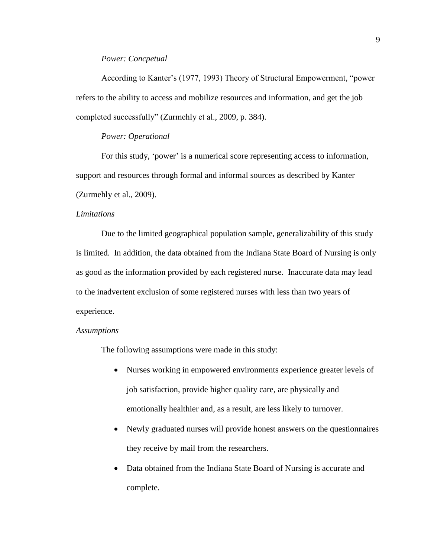# *Power: Concpetual*

According to Kanter's (1977, 1993) Theory of Structural Empowerment, "power refers to the ability to access and mobilize resources and information, and get the job completed successfully" (Zurmehly et al., 2009, p. 384).

# *Power: Operational*

For this study, 'power' is a numerical score representing access to information, support and resources through formal and informal sources as described by Kanter (Zurmehly et al., 2009).

#### <span id="page-12-0"></span>*Limitations*

Due to the limited geographical population sample, generalizability of this study is limited. In addition, the data obtained from the Indiana State Board of Nursing is only as good as the information provided by each registered nurse. Inaccurate data may lead to the inadvertent exclusion of some registered nurses with less than two years of experience.

#### <span id="page-12-1"></span>*Assumptions*

The following assumptions were made in this study:

- Nurses working in empowered environments experience greater levels of job satisfaction, provide higher quality care, are physically and emotionally healthier and, as a result, are less likely to turnover.
- Newly graduated nurses will provide honest answers on the questionnaires they receive by mail from the researchers.
- Data obtained from the Indiana State Board of Nursing is accurate and complete.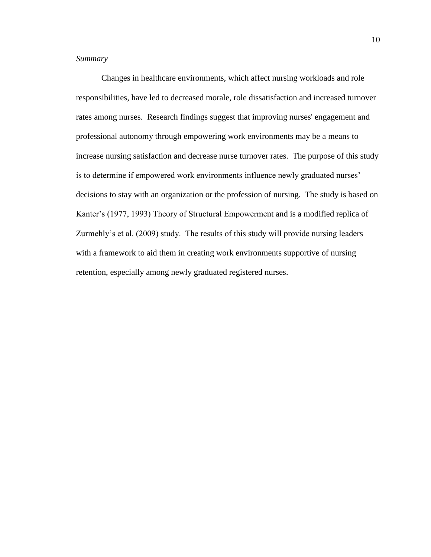# <span id="page-13-0"></span>*Summary*

Changes in healthcare environments, which affect nursing workloads and role responsibilities, have led to decreased morale, role dissatisfaction and increased turnover rates among nurses. Research findings suggest that improving nurses' engagement and professional autonomy through empowering work environments may be a means to increase nursing satisfaction and decrease nurse turnover rates. The purpose of this study is to determine if empowered work environments influence newly graduated nurses' decisions to stay with an organization or the profession of nursing. The study is based on Kanter's (1977, 1993) Theory of Structural Empowerment and is a modified replica of Zurmehly's et al. (2009) study. The results of this study will provide nursing leaders with a framework to aid them in creating work environments supportive of nursing retention, especially among newly graduated registered nurses.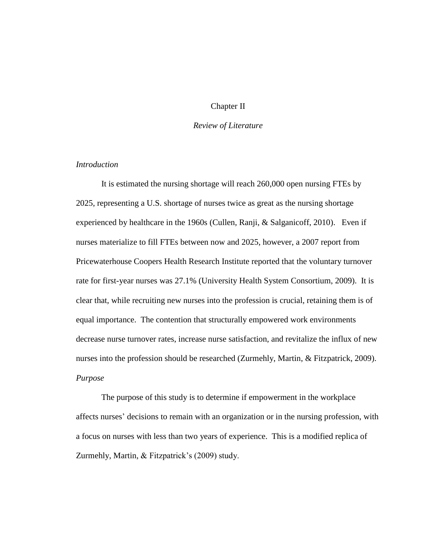# Chapter II

# *Review of Literature*

# <span id="page-14-1"></span><span id="page-14-0"></span>*Introduction*

It is estimated the nursing shortage will reach 260,000 open nursing FTEs by 2025, representing a U.S. shortage of nurses twice as great as the nursing shortage experienced by healthcare in the 1960s (Cullen, Ranji, & Salganicoff, 2010). Even if nurses materialize to fill FTEs between now and 2025, however, a 2007 report from Pricewaterhouse Coopers Health Research Institute reported that the voluntary turnover rate for first-year nurses was 27.1% (University Health System Consortium, 2009). It is clear that, while recruiting new nurses into the profession is crucial, retaining them is of equal importance. The contention that structurally empowered work environments decrease nurse turnover rates, increase nurse satisfaction, and revitalize the influx of new nurses into the profession should be researched (Zurmehly, Martin, & Fitzpatrick, 2009). *Purpose*

<span id="page-14-2"></span>The purpose of this study is to determine if empowerment in the workplace affects nurses' decisions to remain with an organization or in the nursing profession, with a focus on nurses with less than two years of experience. This is a modified replica of Zurmehly, Martin, & Fitzpatrick's (2009) study.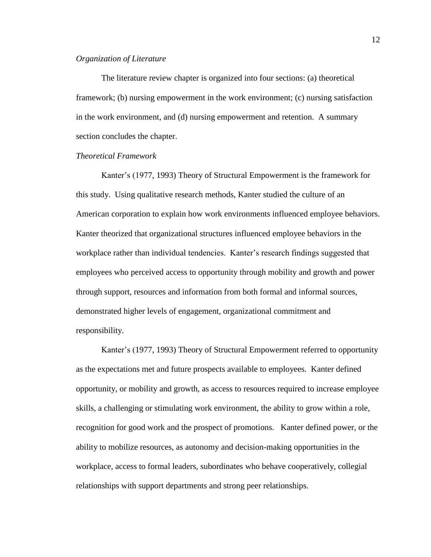#### <span id="page-15-0"></span>*Organization of Literature*

The literature review chapter is organized into four sections: (a) theoretical framework; (b) nursing empowerment in the work environment; (c) nursing satisfaction in the work environment, and (d) nursing empowerment and retention. A summary section concludes the chapter.

# <span id="page-15-1"></span>*Theoretical Framework*

Kanter's (1977, 1993) Theory of Structural Empowerment is the framework for this study. Using qualitative research methods, Kanter studied the culture of an American corporation to explain how work environments influenced employee behaviors. Kanter theorized that organizational structures influenced employee behaviors in the workplace rather than individual tendencies. Kanter's research findings suggested that employees who perceived access to opportunity through mobility and growth and power through support, resources and information from both formal and informal sources, demonstrated higher levels of engagement, organizational commitment and responsibility.

Kanter's (1977, 1993) Theory of Structural Empowerment referred to opportunity as the expectations met and future prospects available to employees. Kanter defined opportunity, or mobility and growth, as access to resources required to increase employee skills, a challenging or stimulating work environment, the ability to grow within a role, recognition for good work and the prospect of promotions. Kanter defined power, or the ability to mobilize resources, as autonomy and decision-making opportunities in the workplace, access to formal leaders, subordinates who behave cooperatively, collegial relationships with support departments and strong peer relationships.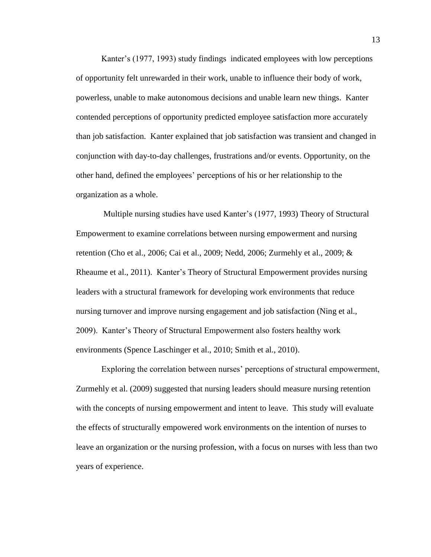Kanter's (1977, 1993) study findings indicated employees with low perceptions of opportunity felt unrewarded in their work, unable to influence their body of work, powerless, unable to make autonomous decisions and unable learn new things. Kanter contended perceptions of opportunity predicted employee satisfaction more accurately than job satisfaction. Kanter explained that job satisfaction was transient and changed in conjunction with day-to-day challenges, frustrations and/or events. Opportunity, on the other hand, defined the employees' perceptions of his or her relationship to the organization as a whole.

Multiple nursing studies have used Kanter's (1977, 1993) Theory of Structural Empowerment to examine correlations between nursing empowerment and nursing retention (Cho et al., 2006; Cai et al., 2009; Nedd, 2006; Zurmehly et al., 2009; & Rheaume et al., 2011). Kanter's Theory of Structural Empowerment provides nursing leaders with a structural framework for developing work environments that reduce nursing turnover and improve nursing engagement and job satisfaction (Ning et al., 2009). Kanter's Theory of Structural Empowerment also fosters healthy work environments (Spence Laschinger et al., 2010; Smith et al., 2010).

Exploring the correlation between nurses' perceptions of structural empowerment, Zurmehly et al. (2009) suggested that nursing leaders should measure nursing retention with the concepts of nursing empowerment and intent to leave. This study will evaluate the effects of structurally empowered work environments on the intention of nurses to leave an organization or the nursing profession, with a focus on nurses with less than two years of experience.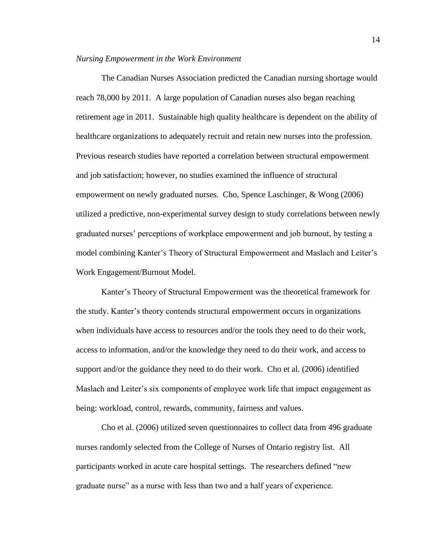#### <span id="page-17-0"></span>*Nursing Empowerment in the Work Environment*

The Canadian Nurses Association predicted the Canadian nursing shortage would reach 78,000 by 2011. A large population of Canadian nurses also began reaching retirement age in 2011. Sustainable high quality healthcare is dependent on the ability of healthcare organizations to adequately recruit and retain new nurses into the profession. Previous research studies have reported a correlation between structural empowerment and job satisfaction; however, no studies examined the influence of structural empowerment on newly graduated nurses. Cho, Spence Laschinger, & Wong (2006) utilized a predictive, non-experimental survey design to study correlations between newly graduated nurses' perceptions of workplace empowerment and job burnout, by testing a model combining Kanter's Theory of Structural Empowerment and Maslach and Leiter's Work Engagement/Burnout Model.

Kanter's Theory of Structural Empowerment was the theoretical framework for the study. Kanter's theory contends structural empowerment occurs in organizations when individuals have access to resources and/or the tools they need to do their work, access to information, and/or the knowledge they need to do their work, and access to support and/or the guidance they need to do their work. Cho et al. (2006) identified Maslach and Leiter's six components of employee work life that impact engagement as being: workload, control, rewards, community, fairness and values.

Cho et al. (2006) utilized seven questionnaires to collect data from 496 graduate nurses randomly selected from the College of Nurses of Ontario registry list. All participants worked in acute care hospital settings. The researchers defined "new graduate nurse" as a nurse with less than two and a half years of experience.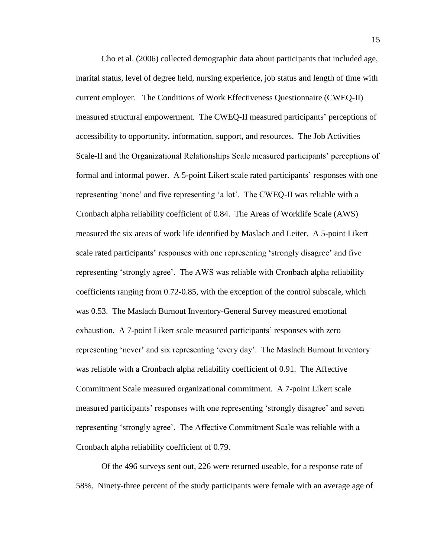Cho et al. (2006) collected demographic data about participants that included age, marital status, level of degree held, nursing experience, job status and length of time with current employer. The Conditions of Work Effectiveness Questionnaire (CWEQ-II) measured structural empowerment. The CWEQ-II measured participants' perceptions of accessibility to opportunity, information, support, and resources. The Job Activities Scale-II and the Organizational Relationships Scale measured participants' perceptions of formal and informal power. A 5-point Likert scale rated participants' responses with one representing 'none' and five representing 'a lot'. The CWEQ-II was reliable with a Cronbach alpha reliability coefficient of 0.84. The Areas of Worklife Scale (AWS) measured the six areas of work life identified by Maslach and Leiter. A 5-point Likert scale rated participants' responses with one representing 'strongly disagree' and five representing 'strongly agree'. The AWS was reliable with Cronbach alpha reliability coefficients ranging from 0.72-0.85, with the exception of the control subscale, which was 0.53. The Maslach Burnout Inventory-General Survey measured emotional exhaustion. A 7-point Likert scale measured participants' responses with zero representing 'never' and six representing 'every day'. The Maslach Burnout Inventory was reliable with a Cronbach alpha reliability coefficient of 0.91. The Affective Commitment Scale measured organizational commitment. A 7-point Likert scale measured participants' responses with one representing 'strongly disagree' and seven representing 'strongly agree'. The Affective Commitment Scale was reliable with a Cronbach alpha reliability coefficient of 0.79.

Of the 496 surveys sent out, 226 were returned useable, for a response rate of 58%. Ninety-three percent of the study participants were female with an average age of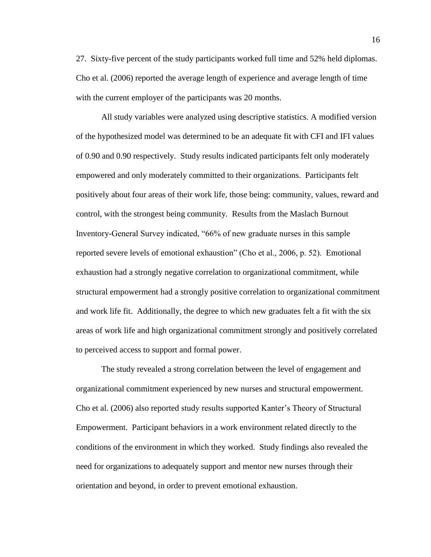27. Sixty-five percent of the study participants worked full time and 52% held diplomas. Cho et al. (2006) reported the average length of experience and average length of time with the current employer of the participants was 20 months.

All study variables were analyzed using descriptive statistics. A modified version of the hypothesized model was determined to be an adequate fit with CFI and IFI values of 0.90 and 0.90 respectively. Study results indicated participants felt only moderately empowered and only moderately committed to their organizations. Participants felt positively about four areas of their work life, those being: community, values, reward and control, with the strongest being community. Results from the Maslach Burnout Inventory-General Survey indicated, "66% of new graduate nurses in this sample reported severe levels of emotional exhaustion" (Cho et al., 2006, p. 52). Emotional exhaustion had a strongly negative correlation to organizational commitment, while structural empowerment had a strongly positive correlation to organizational commitment and work life fit. Additionally, the degree to which new graduates felt a fit with the six areas of work life and high organizational commitment strongly and positively correlated to perceived access to support and formal power.

The study revealed a strong correlation between the level of engagement and organizational commitment experienced by new nurses and structural empowerment. Cho et al. (2006) also reported study results supported Kanter's Theory of Structural Empowerment. Participant behaviors in a work environment related directly to the conditions of the environment in which they worked. Study findings also revealed the need for organizations to adequately support and mentor new nurses through their orientation and beyond, in order to prevent emotional exhaustion.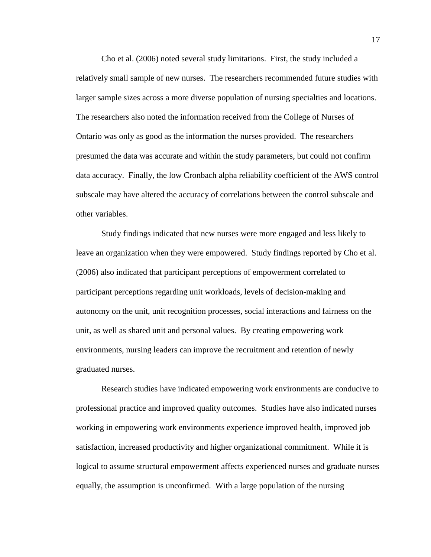Cho et al. (2006) noted several study limitations. First, the study included a relatively small sample of new nurses. The researchers recommended future studies with larger sample sizes across a more diverse population of nursing specialties and locations. The researchers also noted the information received from the College of Nurses of Ontario was only as good as the information the nurses provided. The researchers presumed the data was accurate and within the study parameters, but could not confirm data accuracy. Finally, the low Cronbach alpha reliability coefficient of the AWS control subscale may have altered the accuracy of correlations between the control subscale and other variables.

Study findings indicated that new nurses were more engaged and less likely to leave an organization when they were empowered. Study findings reported by Cho et al. (2006) also indicated that participant perceptions of empowerment correlated to participant perceptions regarding unit workloads, levels of decision-making and autonomy on the unit, unit recognition processes, social interactions and fairness on the unit, as well as shared unit and personal values. By creating empowering work environments, nursing leaders can improve the recruitment and retention of newly graduated nurses.

Research studies have indicated empowering work environments are conducive to professional practice and improved quality outcomes. Studies have also indicated nurses working in empowering work environments experience improved health, improved job satisfaction, increased productivity and higher organizational commitment. While it is logical to assume structural empowerment affects experienced nurses and graduate nurses equally, the assumption is unconfirmed. With a large population of the nursing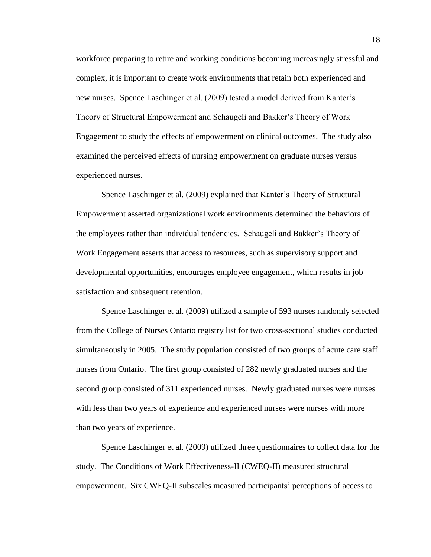workforce preparing to retire and working conditions becoming increasingly stressful and complex, it is important to create work environments that retain both experienced and new nurses. Spence Laschinger et al. (2009) tested a model derived from Kanter's Theory of Structural Empowerment and Schaugeli and Bakker's Theory of Work Engagement to study the effects of empowerment on clinical outcomes. The study also examined the perceived effects of nursing empowerment on graduate nurses versus experienced nurses.

Spence Laschinger et al. (2009) explained that Kanter's Theory of Structural Empowerment asserted organizational work environments determined the behaviors of the employees rather than individual tendencies. Schaugeli and Bakker's Theory of Work Engagement asserts that access to resources, such as supervisory support and developmental opportunities, encourages employee engagement, which results in job satisfaction and subsequent retention.

Spence Laschinger et al. (2009) utilized a sample of 593 nurses randomly selected from the College of Nurses Ontario registry list for two cross-sectional studies conducted simultaneously in 2005. The study population consisted of two groups of acute care staff nurses from Ontario. The first group consisted of 282 newly graduated nurses and the second group consisted of 311 experienced nurses. Newly graduated nurses were nurses with less than two years of experience and experienced nurses were nurses with more than two years of experience.

Spence Laschinger et al. (2009) utilized three questionnaires to collect data for the study. The Conditions of Work Effectiveness-II (CWEQ-II) measured structural empowerment. Six CWEQ-II subscales measured participants' perceptions of access to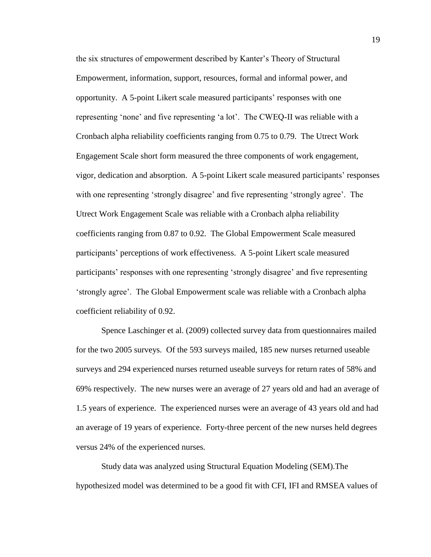the six structures of empowerment described by Kanter's Theory of Structural Empowerment, information, support, resources, formal and informal power, and opportunity. A 5-point Likert scale measured participants' responses with one representing 'none' and five representing 'a lot'. The CWEQ-II was reliable with a Cronbach alpha reliability coefficients ranging from 0.75 to 0.79. The Utrect Work Engagement Scale short form measured the three components of work engagement, vigor, dedication and absorption. A 5-point Likert scale measured participants' responses with one representing 'strongly disagree' and five representing 'strongly agree'. The Utrect Work Engagement Scale was reliable with a Cronbach alpha reliability coefficients ranging from 0.87 to 0.92. The Global Empowerment Scale measured participants' perceptions of work effectiveness. A 5-point Likert scale measured participants' responses with one representing 'strongly disagree' and five representing 'strongly agree'. The Global Empowerment scale was reliable with a Cronbach alpha coefficient reliability of 0.92.

Spence Laschinger et al. (2009) collected survey data from questionnaires mailed for the two 2005 surveys. Of the 593 surveys mailed, 185 new nurses returned useable surveys and 294 experienced nurses returned useable surveys for return rates of 58% and 69% respectively. The new nurses were an average of 27 years old and had an average of 1.5 years of experience. The experienced nurses were an average of 43 years old and had an average of 19 years of experience. Forty-three percent of the new nurses held degrees versus 24% of the experienced nurses.

Study data was analyzed using Structural Equation Modeling (SEM).The hypothesized model was determined to be a good fit with CFI, IFI and RMSEA values of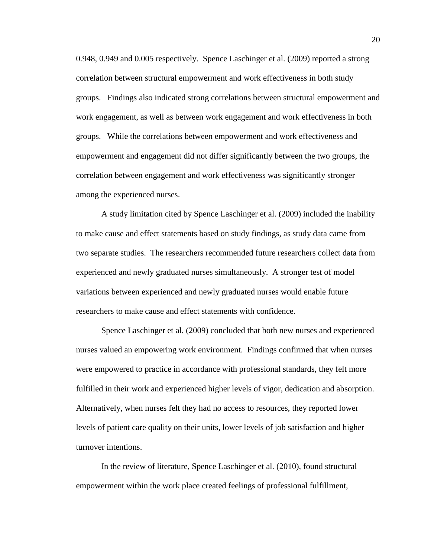0.948, 0.949 and 0.005 respectively. Spence Laschinger et al. (2009) reported a strong correlation between structural empowerment and work effectiveness in both study groups. Findings also indicated strong correlations between structural empowerment and work engagement, as well as between work engagement and work effectiveness in both groups. While the correlations between empowerment and work effectiveness and empowerment and engagement did not differ significantly between the two groups, the correlation between engagement and work effectiveness was significantly stronger among the experienced nurses.

A study limitation cited by Spence Laschinger et al. (2009) included the inability to make cause and effect statements based on study findings, as study data came from two separate studies. The researchers recommended future researchers collect data from experienced and newly graduated nurses simultaneously. A stronger test of model variations between experienced and newly graduated nurses would enable future researchers to make cause and effect statements with confidence.

Spence Laschinger et al. (2009) concluded that both new nurses and experienced nurses valued an empowering work environment. Findings confirmed that when nurses were empowered to practice in accordance with professional standards, they felt more fulfilled in their work and experienced higher levels of vigor, dedication and absorption. Alternatively, when nurses felt they had no access to resources, they reported lower levels of patient care quality on their units, lower levels of job satisfaction and higher turnover intentions.

In the review of literature, Spence Laschinger et al. (2010), found structural empowerment within the work place created feelings of professional fulfillment,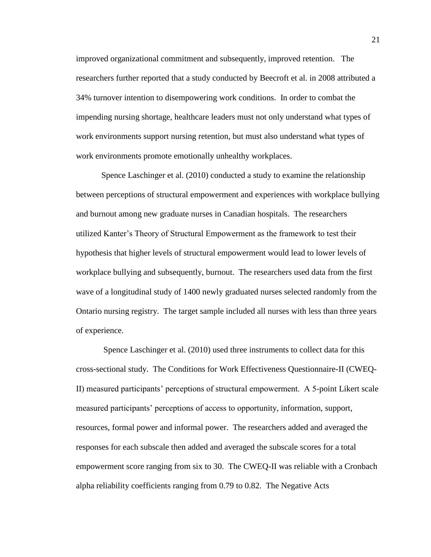improved organizational commitment and subsequently, improved retention. The researchers further reported that a study conducted by Beecroft et al. in 2008 attributed a 34% turnover intention to disempowering work conditions. In order to combat the impending nursing shortage, healthcare leaders must not only understand what types of work environments support nursing retention, but must also understand what types of work environments promote emotionally unhealthy workplaces.

Spence Laschinger et al. (2010) conducted a study to examine the relationship between perceptions of structural empowerment and experiences with workplace bullying and burnout among new graduate nurses in Canadian hospitals. The researchers utilized Kanter's Theory of Structural Empowerment as the framework to test their hypothesis that higher levels of structural empowerment would lead to lower levels of workplace bullying and subsequently, burnout. The researchers used data from the first wave of a longitudinal study of 1400 newly graduated nurses selected randomly from the Ontario nursing registry. The target sample included all nurses with less than three years of experience.

Spence Laschinger et al. (2010) used three instruments to collect data for this cross-sectional study. The Conditions for Work Effectiveness Questionnaire-II (CWEQ-II) measured participants' perceptions of structural empowerment. A 5-point Likert scale measured participants' perceptions of access to opportunity, information, support, resources, formal power and informal power. The researchers added and averaged the responses for each subscale then added and averaged the subscale scores for a total empowerment score ranging from six to 30. The CWEQ-II was reliable with a Cronbach alpha reliability coefficients ranging from 0.79 to 0.82. The Negative Acts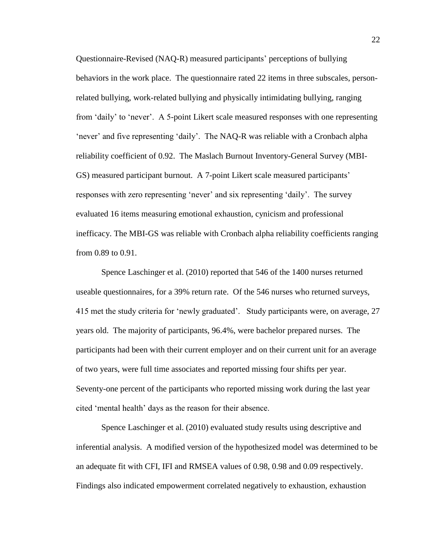Questionnaire-Revised (NAQ-R) measured participants' perceptions of bullying behaviors in the work place. The questionnaire rated 22 items in three subscales, personrelated bullying, work-related bullying and physically intimidating bullying, ranging from 'daily' to 'never'. A 5-point Likert scale measured responses with one representing 'never' and five representing 'daily'. The NAQ-R was reliable with a Cronbach alpha reliability coefficient of 0.92. The Maslach Burnout Inventory-General Survey (MBI-GS) measured participant burnout. A 7-point Likert scale measured participants' responses with zero representing 'never' and six representing 'daily'. The survey evaluated 16 items measuring emotional exhaustion, cynicism and professional inefficacy. The MBI-GS was reliable with Cronbach alpha reliability coefficients ranging from 0.89 to 0.91.

Spence Laschinger et al. (2010) reported that 546 of the 1400 nurses returned useable questionnaires, for a 39% return rate. Of the 546 nurses who returned surveys, 415 met the study criteria for 'newly graduated'. Study participants were, on average, 27 years old. The majority of participants, 96.4%, were bachelor prepared nurses. The participants had been with their current employer and on their current unit for an average of two years, were full time associates and reported missing four shifts per year. Seventy-one percent of the participants who reported missing work during the last year cited 'mental health' days as the reason for their absence.

Spence Laschinger et al. (2010) evaluated study results using descriptive and inferential analysis. A modified version of the hypothesized model was determined to be an adequate fit with CFI, IFI and RMSEA values of 0.98, 0.98 and 0.09 respectively. Findings also indicated empowerment correlated negatively to exhaustion, exhaustion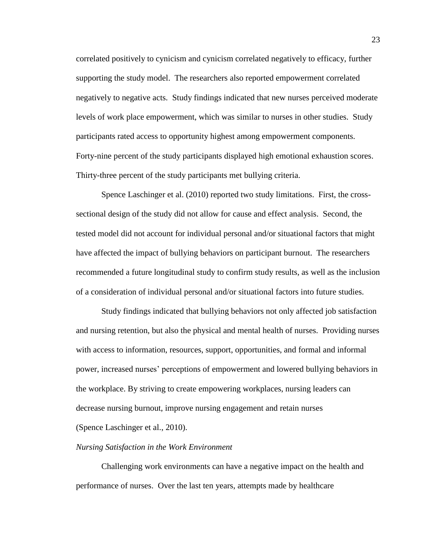correlated positively to cynicism and cynicism correlated negatively to efficacy, further supporting the study model. The researchers also reported empowerment correlated negatively to negative acts. Study findings indicated that new nurses perceived moderate levels of work place empowerment, which was similar to nurses in other studies. Study participants rated access to opportunity highest among empowerment components. Forty-nine percent of the study participants displayed high emotional exhaustion scores. Thirty-three percent of the study participants met bullying criteria.

Spence Laschinger et al. (2010) reported two study limitations. First, the crosssectional design of the study did not allow for cause and effect analysis. Second, the tested model did not account for individual personal and/or situational factors that might have affected the impact of bullying behaviors on participant burnout. The researchers recommended a future longitudinal study to confirm study results, as well as the inclusion of a consideration of individual personal and/or situational factors into future studies.

Study findings indicated that bullying behaviors not only affected job satisfaction and nursing retention, but also the physical and mental health of nurses. Providing nurses with access to information, resources, support, opportunities, and formal and informal power, increased nurses' perceptions of empowerment and lowered bullying behaviors in the workplace. By striving to create empowering workplaces, nursing leaders can decrease nursing burnout, improve nursing engagement and retain nurses (Spence Laschinger et al., 2010).

# <span id="page-26-0"></span>*Nursing Satisfaction in the Work Environment*

Challenging work environments can have a negative impact on the health and performance of nurses. Over the last ten years, attempts made by healthcare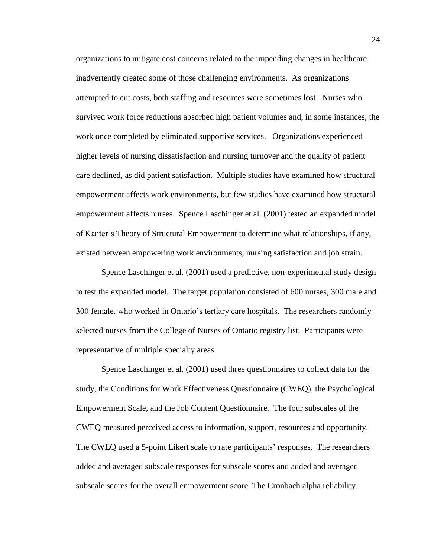organizations to mitigate cost concerns related to the impending changes in healthcare inadvertently created some of those challenging environments. As organizations attempted to cut costs, both staffing and resources were sometimes lost. Nurses who survived work force reductions absorbed high patient volumes and, in some instances, the work once completed by eliminated supportive services. Organizations experienced higher levels of nursing dissatisfaction and nursing turnover and the quality of patient care declined, as did patient satisfaction. Multiple studies have examined how structural empowerment affects work environments, but few studies have examined how structural empowerment affects nurses. Spence Laschinger et al. (2001) tested an expanded model of Kanter's Theory of Structural Empowerment to determine what relationships, if any, existed between empowering work environments, nursing satisfaction and job strain.

Spence Laschinger et al. (2001) used a predictive, non-experimental study design to test the expanded model. The target population consisted of 600 nurses, 300 male and 300 female, who worked in Ontario's tertiary care hospitals. The researchers randomly selected nurses from the College of Nurses of Ontario registry list. Participants were representative of multiple specialty areas.

Spence Laschinger et al. (2001) used three questionnaires to collect data for the study, the Conditions for Work Effectiveness Questionnaire (CWEQ), the Psychological Empowerment Scale, and the Job Content Questionnaire. The four subscales of the CWEQ measured perceived access to information, support, resources and opportunity. The CWEQ used a 5-point Likert scale to rate participants' responses. The researchers added and averaged subscale responses for subscale scores and added and averaged subscale scores for the overall empowerment score. The Cronbach alpha reliability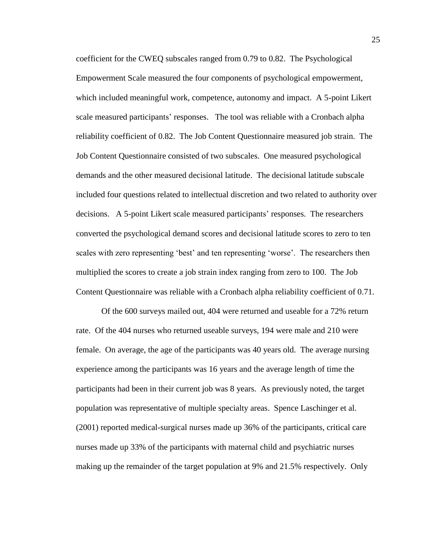coefficient for the CWEQ subscales ranged from 0.79 to 0.82. The Psychological Empowerment Scale measured the four components of psychological empowerment, which included meaningful work, competence, autonomy and impact. A 5-point Likert scale measured participants' responses. The tool was reliable with a Cronbach alpha reliability coefficient of 0.82. The Job Content Questionnaire measured job strain. The Job Content Questionnaire consisted of two subscales. One measured psychological demands and the other measured decisional latitude. The decisional latitude subscale included four questions related to intellectual discretion and two related to authority over decisions. A 5-point Likert scale measured participants' responses. The researchers converted the psychological demand scores and decisional latitude scores to zero to ten scales with zero representing 'best' and ten representing 'worse'. The researchers then multiplied the scores to create a job strain index ranging from zero to 100. The Job Content Questionnaire was reliable with a Cronbach alpha reliability coefficient of 0.71.

Of the 600 surveys mailed out, 404 were returned and useable for a 72% return rate. Of the 404 nurses who returned useable surveys, 194 were male and 210 were female. On average, the age of the participants was 40 years old. The average nursing experience among the participants was 16 years and the average length of time the participants had been in their current job was 8 years. As previously noted, the target population was representative of multiple specialty areas. Spence Laschinger et al. (2001) reported medical-surgical nurses made up 36% of the participants, critical care nurses made up 33% of the participants with maternal child and psychiatric nurses making up the remainder of the target population at 9% and 21.5% respectively. Only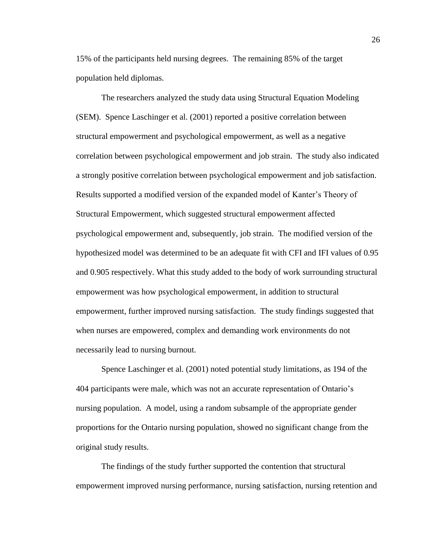15% of the participants held nursing degrees. The remaining 85% of the target population held diplomas.

The researchers analyzed the study data using Structural Equation Modeling (SEM). Spence Laschinger et al. (2001) reported a positive correlation between structural empowerment and psychological empowerment, as well as a negative correlation between psychological empowerment and job strain. The study also indicated a strongly positive correlation between psychological empowerment and job satisfaction. Results supported a modified version of the expanded model of Kanter's Theory of Structural Empowerment, which suggested structural empowerment affected psychological empowerment and, subsequently, job strain. The modified version of the hypothesized model was determined to be an adequate fit with CFI and IFI values of 0.95 and 0.905 respectively. What this study added to the body of work surrounding structural empowerment was how psychological empowerment, in addition to structural empowerment, further improved nursing satisfaction. The study findings suggested that when nurses are empowered, complex and demanding work environments do not necessarily lead to nursing burnout.

Spence Laschinger et al. (2001) noted potential study limitations, as 194 of the 404 participants were male, which was not an accurate representation of Ontario's nursing population. A model, using a random subsample of the appropriate gender proportions for the Ontario nursing population, showed no significant change from the original study results.

The findings of the study further supported the contention that structural empowerment improved nursing performance, nursing satisfaction, nursing retention and

26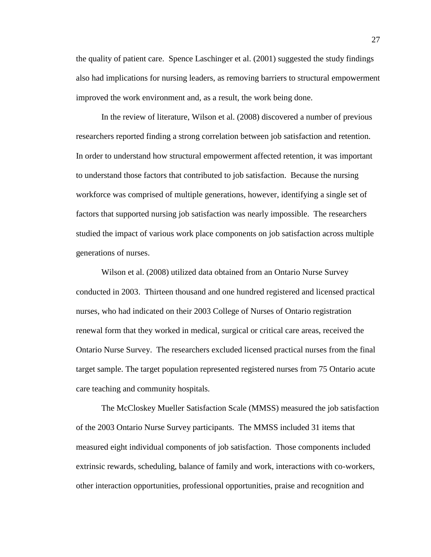the quality of patient care. Spence Laschinger et al. (2001) suggested the study findings also had implications for nursing leaders, as removing barriers to structural empowerment improved the work environment and, as a result, the work being done.

In the review of literature, Wilson et al. (2008) discovered a number of previous researchers reported finding a strong correlation between job satisfaction and retention. In order to understand how structural empowerment affected retention, it was important to understand those factors that contributed to job satisfaction. Because the nursing workforce was comprised of multiple generations, however, identifying a single set of factors that supported nursing job satisfaction was nearly impossible. The researchers studied the impact of various work place components on job satisfaction across multiple generations of nurses.

Wilson et al. (2008) utilized data obtained from an Ontario Nurse Survey conducted in 2003. Thirteen thousand and one hundred registered and licensed practical nurses, who had indicated on their 2003 College of Nurses of Ontario registration renewal form that they worked in medical, surgical or critical care areas, received the Ontario Nurse Survey. The researchers excluded licensed practical nurses from the final target sample. The target population represented registered nurses from 75 Ontario acute care teaching and community hospitals.

The McCloskey Mueller Satisfaction Scale (MMSS) measured the job satisfaction of the 2003 Ontario Nurse Survey participants. The MMSS included 31 items that measured eight individual components of job satisfaction. Those components included extrinsic rewards, scheduling, balance of family and work, interactions with co-workers, other interaction opportunities, professional opportunities, praise and recognition and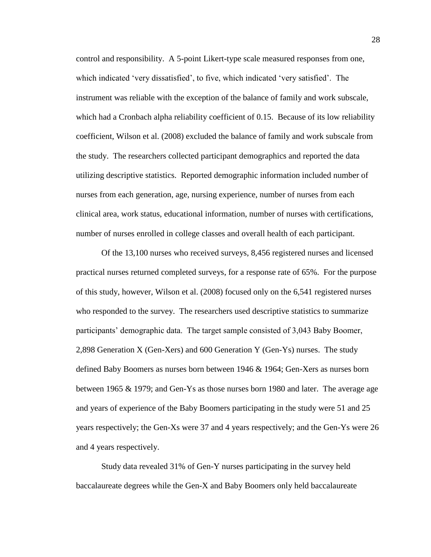control and responsibility. A 5-point Likert-type scale measured responses from one, which indicated 'very dissatisfied', to five, which indicated 'very satisfied'. The instrument was reliable with the exception of the balance of family and work subscale, which had a Cronbach alpha reliability coefficient of 0.15. Because of its low reliability coefficient, Wilson et al. (2008) excluded the balance of family and work subscale from the study. The researchers collected participant demographics and reported the data utilizing descriptive statistics. Reported demographic information included number of nurses from each generation, age, nursing experience, number of nurses from each clinical area, work status, educational information, number of nurses with certifications, number of nurses enrolled in college classes and overall health of each participant.

Of the 13,100 nurses who received surveys, 8,456 registered nurses and licensed practical nurses returned completed surveys, for a response rate of 65%. For the purpose of this study, however, Wilson et al. (2008) focused only on the 6,541 registered nurses who responded to the survey. The researchers used descriptive statistics to summarize participants' demographic data. The target sample consisted of 3,043 Baby Boomer, 2,898 Generation X (Gen-Xers) and 600 Generation Y (Gen-Ys) nurses. The study defined Baby Boomers as nurses born between 1946 & 1964; Gen-Xers as nurses born between 1965 & 1979; and Gen-Ys as those nurses born 1980 and later. The average age and years of experience of the Baby Boomers participating in the study were 51 and 25 years respectively; the Gen-Xs were 37 and 4 years respectively; and the Gen-Ys were 26 and 4 years respectively.

Study data revealed 31% of Gen-Y nurses participating in the survey held baccalaureate degrees while the Gen-X and Baby Boomers only held baccalaureate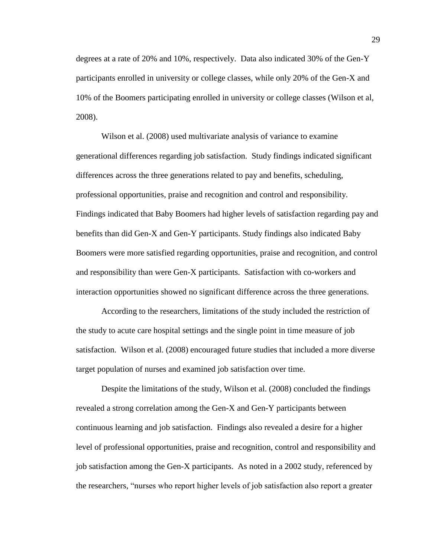degrees at a rate of 20% and 10%, respectively. Data also indicated 30% of the Gen-Y participants enrolled in university or college classes, while only 20% of the Gen-X and 10% of the Boomers participating enrolled in university or college classes (Wilson et al, 2008).

Wilson et al. (2008) used multivariate analysis of variance to examine generational differences regarding job satisfaction. Study findings indicated significant differences across the three generations related to pay and benefits, scheduling, professional opportunities, praise and recognition and control and responsibility. Findings indicated that Baby Boomers had higher levels of satisfaction regarding pay and benefits than did Gen-X and Gen-Y participants. Study findings also indicated Baby Boomers were more satisfied regarding opportunities, praise and recognition, and control and responsibility than were Gen-X participants. Satisfaction with co-workers and interaction opportunities showed no significant difference across the three generations.

According to the researchers, limitations of the study included the restriction of the study to acute care hospital settings and the single point in time measure of job satisfaction. Wilson et al. (2008) encouraged future studies that included a more diverse target population of nurses and examined job satisfaction over time.

Despite the limitations of the study, Wilson et al. (2008) concluded the findings revealed a strong correlation among the Gen-X and Gen-Y participants between continuous learning and job satisfaction. Findings also revealed a desire for a higher level of professional opportunities, praise and recognition, control and responsibility and job satisfaction among the Gen-X participants. As noted in a 2002 study, referenced by the researchers, "nurses who report higher levels of job satisfaction also report a greater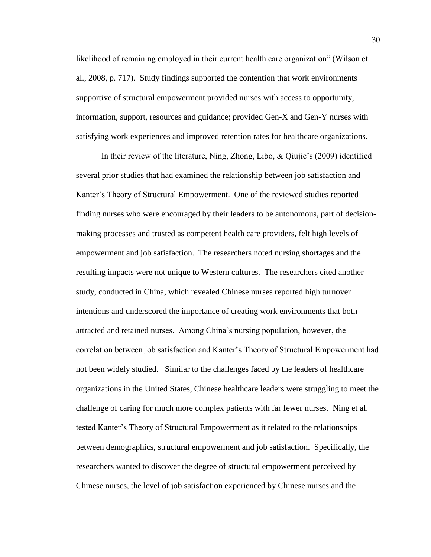likelihood of remaining employed in their current health care organization" (Wilson et al., 2008, p. 717). Study findings supported the contention that work environments supportive of structural empowerment provided nurses with access to opportunity, information, support, resources and guidance; provided Gen-X and Gen-Y nurses with satisfying work experiences and improved retention rates for healthcare organizations.

In their review of the literature, Ning, Zhong, Libo, & Qiujie's (2009) identified several prior studies that had examined the relationship between job satisfaction and Kanter's Theory of Structural Empowerment. One of the reviewed studies reported finding nurses who were encouraged by their leaders to be autonomous, part of decisionmaking processes and trusted as competent health care providers, felt high levels of empowerment and job satisfaction. The researchers noted nursing shortages and the resulting impacts were not unique to Western cultures. The researchers cited another study, conducted in China, which revealed Chinese nurses reported high turnover intentions and underscored the importance of creating work environments that both attracted and retained nurses. Among China's nursing population, however, the correlation between job satisfaction and Kanter's Theory of Structural Empowerment had not been widely studied. Similar to the challenges faced by the leaders of healthcare organizations in the United States, Chinese healthcare leaders were struggling to meet the challenge of caring for much more complex patients with far fewer nurses. Ning et al. tested Kanter's Theory of Structural Empowerment as it related to the relationships between demographics, structural empowerment and job satisfaction. Specifically, the researchers wanted to discover the degree of structural empowerment perceived by Chinese nurses, the level of job satisfaction experienced by Chinese nurses and the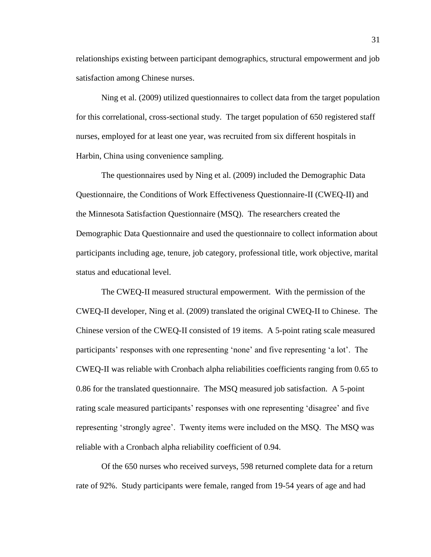relationships existing between participant demographics, structural empowerment and job satisfaction among Chinese nurses.

Ning et al. (2009) utilized questionnaires to collect data from the target population for this correlational, cross-sectional study. The target population of 650 registered staff nurses, employed for at least one year, was recruited from six different hospitals in Harbin, China using convenience sampling.

The questionnaires used by Ning et al. (2009) included the Demographic Data Questionnaire, the Conditions of Work Effectiveness Questionnaire-II (CWEQ-II) and the Minnesota Satisfaction Questionnaire (MSQ). The researchers created the Demographic Data Questionnaire and used the questionnaire to collect information about participants including age, tenure, job category, professional title, work objective, marital status and educational level.

The CWEQ-II measured structural empowerment. With the permission of the CWEQ-II developer, Ning et al. (2009) translated the original CWEQ-II to Chinese. The Chinese version of the CWEQ-II consisted of 19 items. A 5-point rating scale measured participants' responses with one representing 'none' and five representing 'a lot'. The CWEQ-II was reliable with Cronbach alpha reliabilities coefficients ranging from 0.65 to 0.86 for the translated questionnaire. The MSQ measured job satisfaction. A 5-point rating scale measured participants' responses with one representing 'disagree' and five representing 'strongly agree'. Twenty items were included on the MSQ. The MSQ was reliable with a Cronbach alpha reliability coefficient of 0.94.

Of the 650 nurses who received surveys, 598 returned complete data for a return rate of 92%. Study participants were female, ranged from 19-54 years of age and had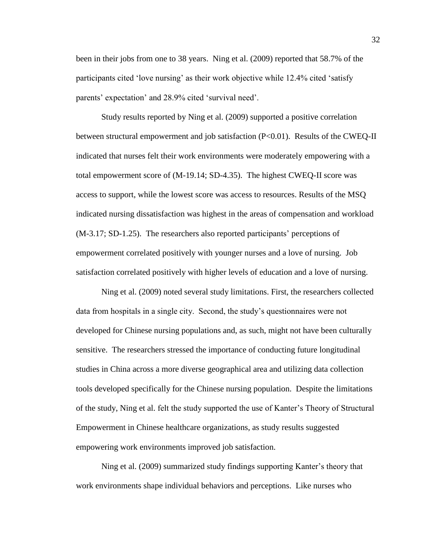been in their jobs from one to 38 years. Ning et al. (2009) reported that 58.7% of the participants cited 'love nursing' as their work objective while 12.4% cited 'satisfy parents' expectation' and 28.9% cited 'survival need'.

Study results reported by Ning et al. (2009) supported a positive correlation between structural empowerment and job satisfaction (P<0.01). Results of the CWEQ-II indicated that nurses felt their work environments were moderately empowering with a total empowerment score of (M-19.14; SD-4.35). The highest CWEQ-II score was access to support, while the lowest score was access to resources. Results of the MSQ indicated nursing dissatisfaction was highest in the areas of compensation and workload (M-3.17; SD-1.25). The researchers also reported participants' perceptions of empowerment correlated positively with younger nurses and a love of nursing. Job satisfaction correlated positively with higher levels of education and a love of nursing.

Ning et al. (2009) noted several study limitations. First, the researchers collected data from hospitals in a single city. Second, the study's questionnaires were not developed for Chinese nursing populations and, as such, might not have been culturally sensitive. The researchers stressed the importance of conducting future longitudinal studies in China across a more diverse geographical area and utilizing data collection tools developed specifically for the Chinese nursing population. Despite the limitations of the study, Ning et al. felt the study supported the use of Kanter's Theory of Structural Empowerment in Chinese healthcare organizations, as study results suggested empowering work environments improved job satisfaction.

Ning et al. (2009) summarized study findings supporting Kanter's theory that work environments shape individual behaviors and perceptions. Like nurses who

32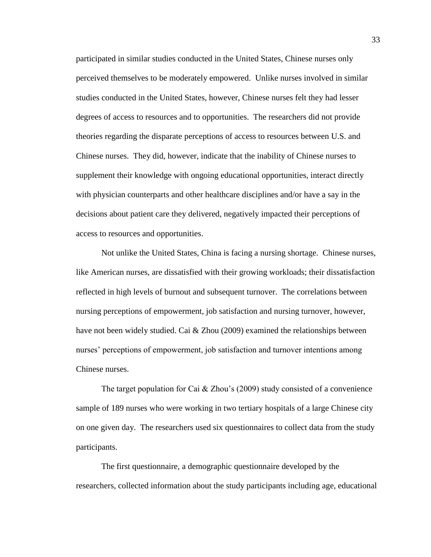participated in similar studies conducted in the United States, Chinese nurses only perceived themselves to be moderately empowered. Unlike nurses involved in similar studies conducted in the United States, however, Chinese nurses felt they had lesser degrees of access to resources and to opportunities. The researchers did not provide theories regarding the disparate perceptions of access to resources between U.S. and Chinese nurses. They did, however, indicate that the inability of Chinese nurses to supplement their knowledge with ongoing educational opportunities, interact directly with physician counterparts and other healthcare disciplines and/or have a say in the decisions about patient care they delivered, negatively impacted their perceptions of access to resources and opportunities.

Not unlike the United States, China is facing a nursing shortage. Chinese nurses, like American nurses, are dissatisfied with their growing workloads; their dissatisfaction reflected in high levels of burnout and subsequent turnover. The correlations between nursing perceptions of empowerment, job satisfaction and nursing turnover, however, have not been widely studied. Cai & Zhou (2009) examined the relationships between nurses' perceptions of empowerment, job satisfaction and turnover intentions among Chinese nurses.

The target population for Cai & Zhou's (2009) study consisted of a convenience sample of 189 nurses who were working in two tertiary hospitals of a large Chinese city on one given day. The researchers used six questionnaires to collect data from the study participants.

The first questionnaire, a demographic questionnaire developed by the researchers, collected information about the study participants including age, educational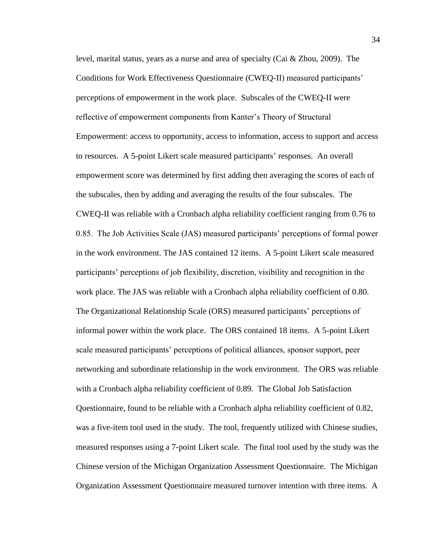level, marital status, years as a nurse and area of specialty (Cai  $&$  Zhou, 2009). The Conditions for Work Effectiveness Questionnaire (CWEQ-II) measured participants' perceptions of empowerment in the work place. Subscales of the CWEQ-II were reflective of empowerment components from Kanter's Theory of Structural Empowerment: access to opportunity, access to information, access to support and access to resources. A 5-point Likert scale measured participants' responses. An overall empowerment score was determined by first adding then averaging the scores of each of the subscales, then by adding and averaging the results of the four subscales. The CWEQ-II was reliable with a Cronbach alpha reliability coefficient ranging from 0.76 to 0.85. The Job Activities Scale (JAS) measured participants' perceptions of formal power in the work environment. The JAS contained 12 items. A 5-point Likert scale measured participants' perceptions of job flexibility, discretion, visibility and recognition in the work place. The JAS was reliable with a Cronbach alpha reliability coefficient of 0.80. The Organizational Relationship Scale (ORS) measured participants' perceptions of informal power within the work place. The ORS contained 18 items. A 5-point Likert scale measured participants' perceptions of political alliances, sponsor support, peer networking and subordinate relationship in the work environment. The ORS was reliable with a Cronbach alpha reliability coefficient of 0.89. The Global Job Satisfaction Questionnaire, found to be reliable with a Cronbach alpha reliability coefficient of 0.82, was a five-item tool used in the study. The tool, frequently utilized with Chinese studies, measured responses using a 7-point Likert scale. The final tool used by the study was the Chinese version of the Michigan Organization Assessment Questionnaire. The Michigan Organization Assessment Questionnaire measured turnover intention with three items. A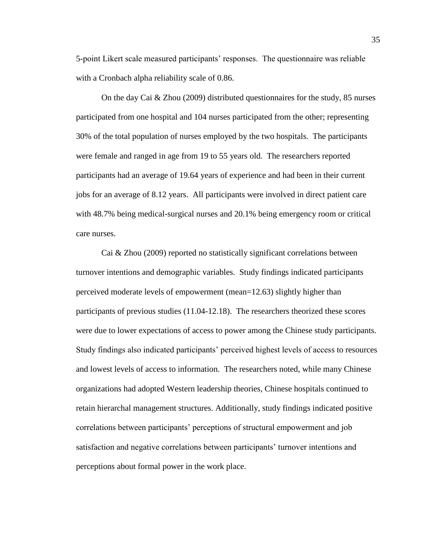5-point Likert scale measured participants' responses. The questionnaire was reliable with a Cronbach alpha reliability scale of 0.86.

On the day Cai & Zhou (2009) distributed questionnaires for the study, 85 nurses participated from one hospital and 104 nurses participated from the other; representing 30% of the total population of nurses employed by the two hospitals. The participants were female and ranged in age from 19 to 55 years old. The researchers reported participants had an average of 19.64 years of experience and had been in their current jobs for an average of 8.12 years. All participants were involved in direct patient care with 48.7% being medical-surgical nurses and 20.1% being emergency room or critical care nurses.

Cai & Zhou (2009) reported no statistically significant correlations between turnover intentions and demographic variables. Study findings indicated participants perceived moderate levels of empowerment (mean=12.63) slightly higher than participants of previous studies (11.04-12.18). The researchers theorized these scores were due to lower expectations of access to power among the Chinese study participants. Study findings also indicated participants' perceived highest levels of access to resources and lowest levels of access to information. The researchers noted, while many Chinese organizations had adopted Western leadership theories, Chinese hospitals continued to retain hierarchal management structures. Additionally, study findings indicated positive correlations between participants' perceptions of structural empowerment and job satisfaction and negative correlations between participants' turnover intentions and perceptions about formal power in the work place.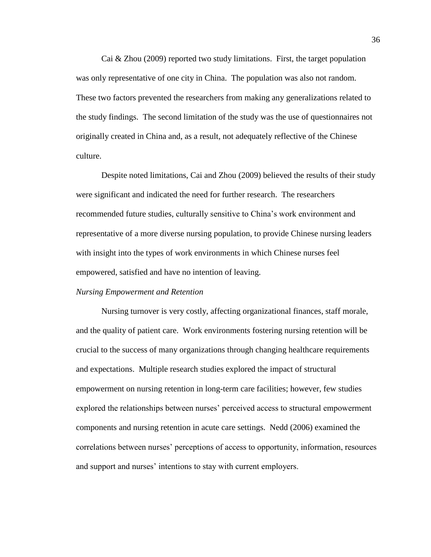Cai & Zhou (2009) reported two study limitations. First, the target population was only representative of one city in China. The population was also not random. These two factors prevented the researchers from making any generalizations related to the study findings. The second limitation of the study was the use of questionnaires not originally created in China and, as a result, not adequately reflective of the Chinese culture.

Despite noted limitations, Cai and Zhou (2009) believed the results of their study were significant and indicated the need for further research. The researchers recommended future studies, culturally sensitive to China's work environment and representative of a more diverse nursing population, to provide Chinese nursing leaders with insight into the types of work environments in which Chinese nurses feel empowered, satisfied and have no intention of leaving.

#### <span id="page-39-0"></span>*Nursing Empowerment and Retention*

Nursing turnover is very costly, affecting organizational finances, staff morale, and the quality of patient care. Work environments fostering nursing retention will be crucial to the success of many organizations through changing healthcare requirements and expectations. Multiple research studies explored the impact of structural empowerment on nursing retention in long-term care facilities; however, few studies explored the relationships between nurses' perceived access to structural empowerment components and nursing retention in acute care settings. Nedd (2006) examined the correlations between nurses' perceptions of access to opportunity, information, resources and support and nurses' intentions to stay with current employers.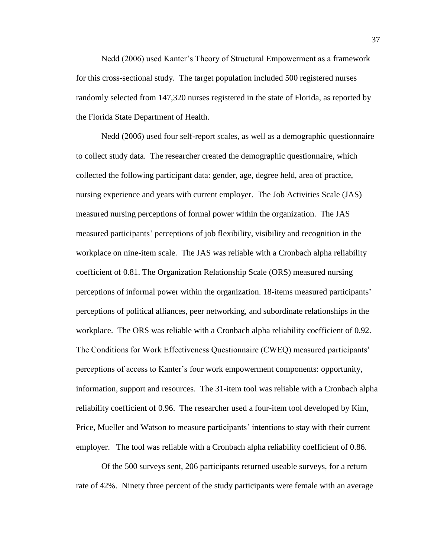Nedd (2006) used Kanter's Theory of Structural Empowerment as a framework for this cross-sectional study. The target population included 500 registered nurses randomly selected from 147,320 nurses registered in the state of Florida, as reported by the Florida State Department of Health.

Nedd (2006) used four self-report scales, as well as a demographic questionnaire to collect study data. The researcher created the demographic questionnaire, which collected the following participant data: gender, age, degree held, area of practice, nursing experience and years with current employer. The Job Activities Scale (JAS) measured nursing perceptions of formal power within the organization. The JAS measured participants' perceptions of job flexibility, visibility and recognition in the workplace on nine-item scale. The JAS was reliable with a Cronbach alpha reliability coefficient of 0.81. The Organization Relationship Scale (ORS) measured nursing perceptions of informal power within the organization. 18-items measured participants' perceptions of political alliances, peer networking, and subordinate relationships in the workplace. The ORS was reliable with a Cronbach alpha reliability coefficient of 0.92. The Conditions for Work Effectiveness Questionnaire (CWEQ) measured participants' perceptions of access to Kanter's four work empowerment components: opportunity, information, support and resources. The 31-item tool was reliable with a Cronbach alpha reliability coefficient of 0.96. The researcher used a four-item tool developed by Kim, Price, Mueller and Watson to measure participants' intentions to stay with their current employer. The tool was reliable with a Cronbach alpha reliability coefficient of 0.86.

Of the 500 surveys sent, 206 participants returned useable surveys, for a return rate of 42%. Ninety three percent of the study participants were female with an average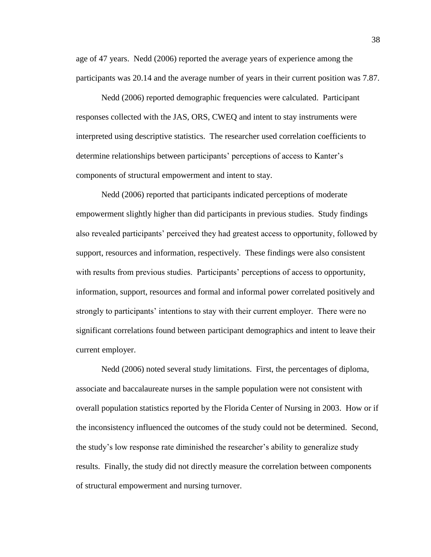age of 47 years. Nedd (2006) reported the average years of experience among the participants was 20.14 and the average number of years in their current position was 7.87.

Nedd (2006) reported demographic frequencies were calculated. Participant responses collected with the JAS, ORS, CWEQ and intent to stay instruments were interpreted using descriptive statistics. The researcher used correlation coefficients to determine relationships between participants' perceptions of access to Kanter's components of structural empowerment and intent to stay.

Nedd (2006) reported that participants indicated perceptions of moderate empowerment slightly higher than did participants in previous studies. Study findings also revealed participants' perceived they had greatest access to opportunity, followed by support, resources and information, respectively. These findings were also consistent with results from previous studies. Participants' perceptions of access to opportunity, information, support, resources and formal and informal power correlated positively and strongly to participants' intentions to stay with their current employer. There were no significant correlations found between participant demographics and intent to leave their current employer.

Nedd (2006) noted several study limitations. First, the percentages of diploma, associate and baccalaureate nurses in the sample population were not consistent with overall population statistics reported by the Florida Center of Nursing in 2003. How or if the inconsistency influenced the outcomes of the study could not be determined. Second, the study's low response rate diminished the researcher's ability to generalize study results. Finally, the study did not directly measure the correlation between components of structural empowerment and nursing turnover.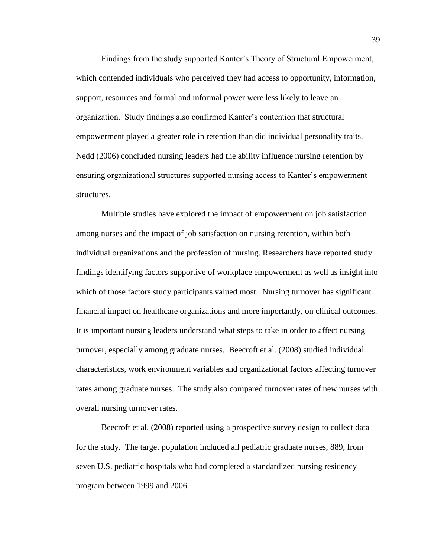Findings from the study supported Kanter's Theory of Structural Empowerment, which contended individuals who perceived they had access to opportunity, information, support, resources and formal and informal power were less likely to leave an organization. Study findings also confirmed Kanter's contention that structural empowerment played a greater role in retention than did individual personality traits. Nedd (2006) concluded nursing leaders had the ability influence nursing retention by ensuring organizational structures supported nursing access to Kanter's empowerment structures.

Multiple studies have explored the impact of empowerment on job satisfaction among nurses and the impact of job satisfaction on nursing retention, within both individual organizations and the profession of nursing. Researchers have reported study findings identifying factors supportive of workplace empowerment as well as insight into which of those factors study participants valued most. Nursing turnover has significant financial impact on healthcare organizations and more importantly, on clinical outcomes. It is important nursing leaders understand what steps to take in order to affect nursing turnover, especially among graduate nurses. Beecroft et al. (2008) studied individual characteristics, work environment variables and organizational factors affecting turnover rates among graduate nurses. The study also compared turnover rates of new nurses with overall nursing turnover rates.

Beecroft et al. (2008) reported using a prospective survey design to collect data for the study. The target population included all pediatric graduate nurses, 889, from seven U.S. pediatric hospitals who had completed a standardized nursing residency program between 1999 and 2006.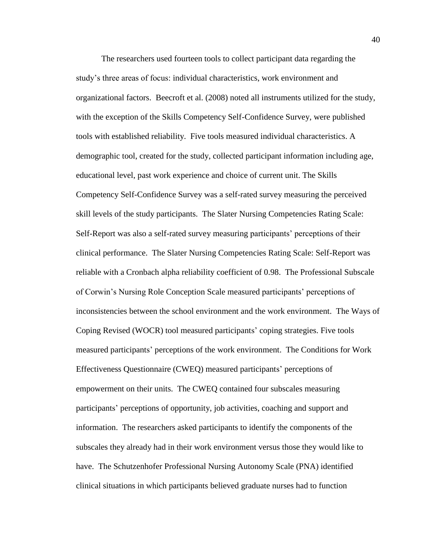The researchers used fourteen tools to collect participant data regarding the study's three areas of focus: individual characteristics, work environment and organizational factors. Beecroft et al. (2008) noted all instruments utilized for the study, with the exception of the Skills Competency Self-Confidence Survey, were published tools with established reliability. Five tools measured individual characteristics. A demographic tool, created for the study, collected participant information including age, educational level, past work experience and choice of current unit. The Skills Competency Self-Confidence Survey was a self-rated survey measuring the perceived skill levels of the study participants. The Slater Nursing Competencies Rating Scale: Self-Report was also a self-rated survey measuring participants' perceptions of their clinical performance. The Slater Nursing Competencies Rating Scale: Self-Report was reliable with a Cronbach alpha reliability coefficient of 0.98. The Professional Subscale of Corwin's Nursing Role Conception Scale measured participants' perceptions of inconsistencies between the school environment and the work environment. The Ways of Coping Revised (WOCR) tool measured participants' coping strategies. Five tools measured participants' perceptions of the work environment. The Conditions for Work Effectiveness Questionnaire (CWEQ) measured participants' perceptions of empowerment on their units. The CWEQ contained four subscales measuring participants' perceptions of opportunity, job activities, coaching and support and information. The researchers asked participants to identify the components of the subscales they already had in their work environment versus those they would like to have. The Schutzenhofer Professional Nursing Autonomy Scale (PNA) identified clinical situations in which participants believed graduate nurses had to function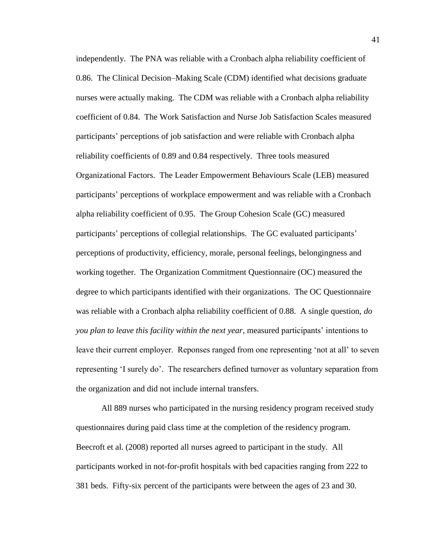independently. The PNA was reliable with a Cronbach alpha reliability coefficient of 0.86. The Clinical Decision–Making Scale (CDM) identified what decisions graduate nurses were actually making. The CDM was reliable with a Cronbach alpha reliability coefficient of 0.84. The Work Satisfaction and Nurse Job Satisfaction Scales measured participants' perceptions of job satisfaction and were reliable with Cronbach alpha reliability coefficients of 0.89 and 0.84 respectively. Three tools measured Organizational Factors. The Leader Empowerment Behaviours Scale (LEB) measured participants' perceptions of workplace empowerment and was reliable with a Cronbach alpha reliability coefficient of 0.95. The Group Cohesion Scale (GC) measured participants' perceptions of collegial relationships. The GC evaluated participants' perceptions of productivity, efficiency, morale, personal feelings, belongingness and working together. The Organization Commitment Questionnaire (OC) measured the degree to which participants identified with their organizations. The OC Questionnaire was reliable with a Cronbach alpha reliability coefficient of 0.88. A single question, *do you plan to leave this facility within the next year*, measured participants' intentions to leave their current employer. Reponses ranged from one representing 'not at all' to seven representing 'I surely do'. The researchers defined turnover as voluntary separation from the organization and did not include internal transfers.

All 889 nurses who participated in the nursing residency program received study questionnaires during paid class time at the completion of the residency program. Beecroft et al. (2008) reported all nurses agreed to participant in the study. All participants worked in not-for-profit hospitals with bed capacities ranging from 222 to 381 beds. Fifty-six percent of the participants were between the ages of 23 and 30.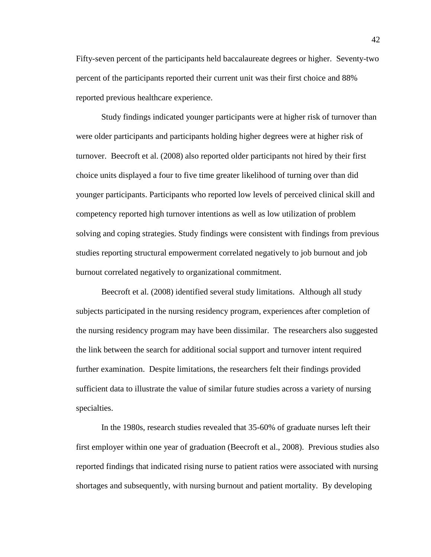Fifty-seven percent of the participants held baccalaureate degrees or higher. Seventy-two percent of the participants reported their current unit was their first choice and 88% reported previous healthcare experience.

Study findings indicated younger participants were at higher risk of turnover than were older participants and participants holding higher degrees were at higher risk of turnover. Beecroft et al. (2008) also reported older participants not hired by their first choice units displayed a four to five time greater likelihood of turning over than did younger participants. Participants who reported low levels of perceived clinical skill and competency reported high turnover intentions as well as low utilization of problem solving and coping strategies. Study findings were consistent with findings from previous studies reporting structural empowerment correlated negatively to job burnout and job burnout correlated negatively to organizational commitment.

Beecroft et al. (2008) identified several study limitations. Although all study subjects participated in the nursing residency program, experiences after completion of the nursing residency program may have been dissimilar. The researchers also suggested the link between the search for additional social support and turnover intent required further examination. Despite limitations, the researchers felt their findings provided sufficient data to illustrate the value of similar future studies across a variety of nursing specialties.

In the 1980s, research studies revealed that 35-60% of graduate nurses left their first employer within one year of graduation (Beecroft et al., 2008). Previous studies also reported findings that indicated rising nurse to patient ratios were associated with nursing shortages and subsequently, with nursing burnout and patient mortality. By developing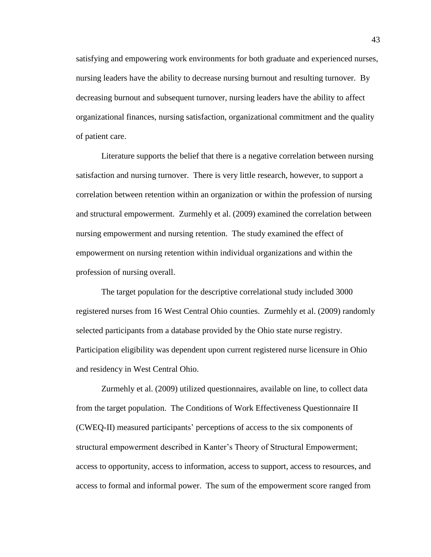satisfying and empowering work environments for both graduate and experienced nurses, nursing leaders have the ability to decrease nursing burnout and resulting turnover. By decreasing burnout and subsequent turnover, nursing leaders have the ability to affect organizational finances, nursing satisfaction, organizational commitment and the quality of patient care.

Literature supports the belief that there is a negative correlation between nursing satisfaction and nursing turnover. There is very little research, however, to support a correlation between retention within an organization or within the profession of nursing and structural empowerment. Zurmehly et al. (2009) examined the correlation between nursing empowerment and nursing retention. The study examined the effect of empowerment on nursing retention within individual organizations and within the profession of nursing overall.

The target population for the descriptive correlational study included 3000 registered nurses from 16 West Central Ohio counties. Zurmehly et al. (2009) randomly selected participants from a database provided by the Ohio state nurse registry. Participation eligibility was dependent upon current registered nurse licensure in Ohio and residency in West Central Ohio.

Zurmehly et al. (2009) utilized questionnaires, available on line, to collect data from the target population. The Conditions of Work Effectiveness Questionnaire II (CWEQ-II) measured participants' perceptions of access to the six components of structural empowerment described in Kanter's Theory of Structural Empowerment; access to opportunity, access to information, access to support, access to resources, and access to formal and informal power. The sum of the empowerment score ranged from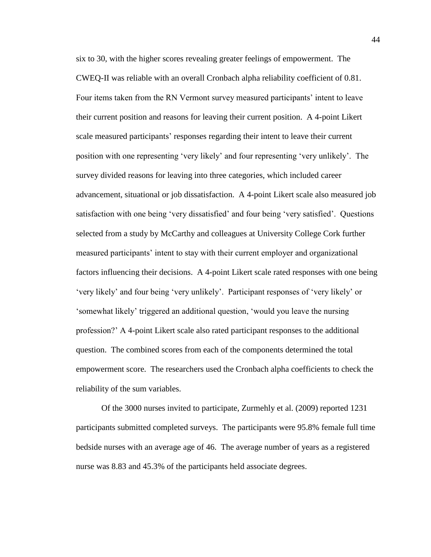six to 30, with the higher scores revealing greater feelings of empowerment. The CWEQ-II was reliable with an overall Cronbach alpha reliability coefficient of 0.81. Four items taken from the RN Vermont survey measured participants' intent to leave their current position and reasons for leaving their current position. A 4-point Likert scale measured participants' responses regarding their intent to leave their current position with one representing 'very likely' and four representing 'very unlikely'. The survey divided reasons for leaving into three categories, which included career advancement, situational or job dissatisfaction. A 4-point Likert scale also measured job satisfaction with one being 'very dissatisfied' and four being 'very satisfied'. Questions selected from a study by McCarthy and colleagues at University College Cork further measured participants' intent to stay with their current employer and organizational factors influencing their decisions. A 4-point Likert scale rated responses with one being 'very likely' and four being 'very unlikely'. Participant responses of 'very likely' or 'somewhat likely' triggered an additional question, 'would you leave the nursing profession?' A 4-point Likert scale also rated participant responses to the additional question. The combined scores from each of the components determined the total empowerment score. The researchers used the Cronbach alpha coefficients to check the reliability of the sum variables.

Of the 3000 nurses invited to participate, Zurmehly et al. (2009) reported 1231 participants submitted completed surveys. The participants were 95.8% female full time bedside nurses with an average age of 46. The average number of years as a registered nurse was 8.83 and 45.3% of the participants held associate degrees.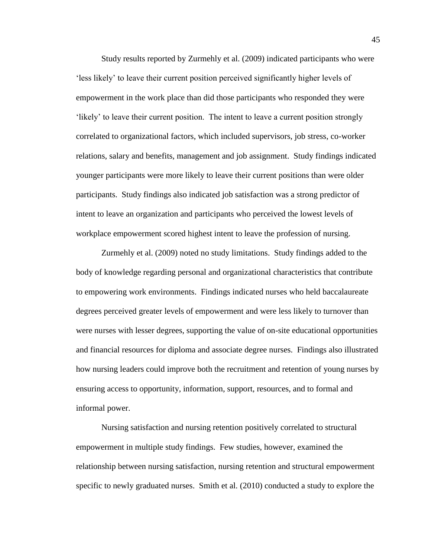Study results reported by Zurmehly et al. (2009) indicated participants who were 'less likely' to leave their current position perceived significantly higher levels of empowerment in the work place than did those participants who responded they were 'likely' to leave their current position. The intent to leave a current position strongly correlated to organizational factors, which included supervisors, job stress, co-worker relations, salary and benefits, management and job assignment. Study findings indicated younger participants were more likely to leave their current positions than were older participants. Study findings also indicated job satisfaction was a strong predictor of intent to leave an organization and participants who perceived the lowest levels of workplace empowerment scored highest intent to leave the profession of nursing.

Zurmehly et al. (2009) noted no study limitations. Study findings added to the body of knowledge regarding personal and organizational characteristics that contribute to empowering work environments. Findings indicated nurses who held baccalaureate degrees perceived greater levels of empowerment and were less likely to turnover than were nurses with lesser degrees, supporting the value of on-site educational opportunities and financial resources for diploma and associate degree nurses. Findings also illustrated how nursing leaders could improve both the recruitment and retention of young nurses by ensuring access to opportunity, information, support, resources, and to formal and informal power.

Nursing satisfaction and nursing retention positively correlated to structural empowerment in multiple study findings. Few studies, however, examined the relationship between nursing satisfaction, nursing retention and structural empowerment specific to newly graduated nurses. Smith et al. (2010) conducted a study to explore the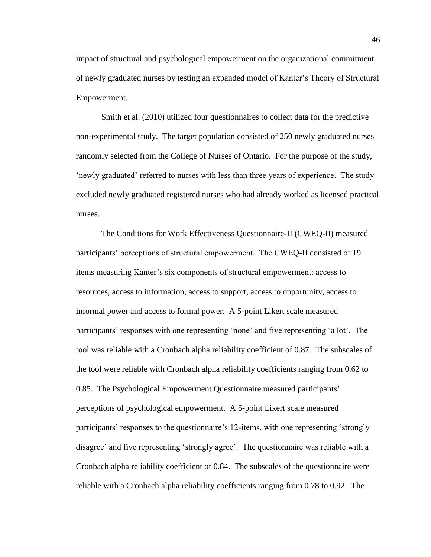impact of structural and psychological empowerment on the organizational commitment of newly graduated nurses by testing an expanded model of Kanter's Theory of Structural Empowerment.

Smith et al. (2010) utilized four questionnaires to collect data for the predictive non-experimental study. The target population consisted of 250 newly graduated nurses randomly selected from the College of Nurses of Ontario. For the purpose of the study, 'newly graduated' referred to nurses with less than three years of experience. The study excluded newly graduated registered nurses who had already worked as licensed practical nurses.

The Conditions for Work Effectiveness Questionnaire-II (CWEQ-II) measured participants' perceptions of structural empowerment. The CWEQ-II consisted of 19 items measuring Kanter's six components of structural empowerment: access to resources, access to information, access to support, access to opportunity, access to informal power and access to formal power. A 5-point Likert scale measured participants' responses with one representing 'none' and five representing 'a lot'. The tool was reliable with a Cronbach alpha reliability coefficient of 0.87. The subscales of the tool were reliable with Cronbach alpha reliability coefficients ranging from 0.62 to 0.85. The Psychological Empowerment Questionnaire measured participants' perceptions of psychological empowerment. A 5-point Likert scale measured participants' responses to the questionnaire's 12-items, with one representing 'strongly disagree' and five representing 'strongly agree'. The questionnaire was reliable with a Cronbach alpha reliability coefficient of 0.84. The subscales of the questionnaire were reliable with a Cronbach alpha reliability coefficients ranging from 0.78 to 0.92. The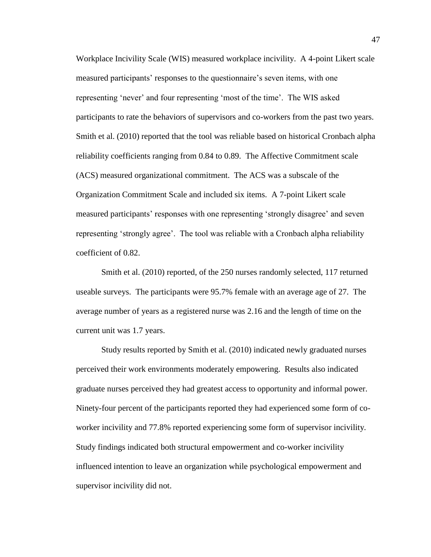Workplace Incivility Scale (WIS) measured workplace incivility. A 4-point Likert scale measured participants' responses to the questionnaire's seven items, with one representing 'never' and four representing 'most of the time'. The WIS asked participants to rate the behaviors of supervisors and co-workers from the past two years. Smith et al. (2010) reported that the tool was reliable based on historical Cronbach alpha reliability coefficients ranging from 0.84 to 0.89. The Affective Commitment scale (ACS) measured organizational commitment. The ACS was a subscale of the Organization Commitment Scale and included six items. A 7-point Likert scale measured participants' responses with one representing 'strongly disagree' and seven representing 'strongly agree'. The tool was reliable with a Cronbach alpha reliability coefficient of 0.82.

Smith et al. (2010) reported, of the 250 nurses randomly selected, 117 returned useable surveys. The participants were 95.7% female with an average age of 27. The average number of years as a registered nurse was 2.16 and the length of time on the current unit was 1.7 years.

Study results reported by Smith et al. (2010) indicated newly graduated nurses perceived their work environments moderately empowering. Results also indicated graduate nurses perceived they had greatest access to opportunity and informal power. Ninety-four percent of the participants reported they had experienced some form of coworker incivility and 77.8% reported experiencing some form of supervisor incivility. Study findings indicated both structural empowerment and co-worker incivility influenced intention to leave an organization while psychological empowerment and supervisor incivility did not.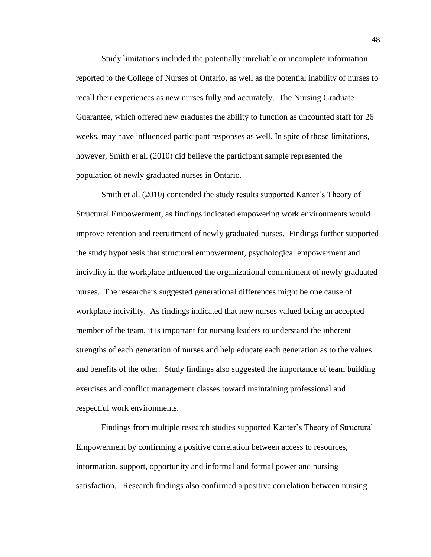Study limitations included the potentially unreliable or incomplete information reported to the College of Nurses of Ontario, as well as the potential inability of nurses to recall their experiences as new nurses fully and accurately. The Nursing Graduate Guarantee, which offered new graduates the ability to function as uncounted staff for 26 weeks, may have influenced participant responses as well. In spite of those limitations, however, Smith et al. (2010) did believe the participant sample represented the population of newly graduated nurses in Ontario.

Smith et al. (2010) contended the study results supported Kanter's Theory of Structural Empowerment, as findings indicated empowering work environments would improve retention and recruitment of newly graduated nurses. Findings further supported the study hypothesis that structural empowerment, psychological empowerment and incivility in the workplace influenced the organizational commitment of newly graduated nurses. The researchers suggested generational differences might be one cause of workplace incivility. As findings indicated that new nurses valued being an accepted member of the team, it is important for nursing leaders to understand the inherent strengths of each generation of nurses and help educate each generation as to the values and benefits of the other. Study findings also suggested the importance of team building exercises and conflict management classes toward maintaining professional and respectful work environments.

Findings from multiple research studies supported Kanter's Theory of Structural Empowerment by confirming a positive correlation between access to resources, information, support, opportunity and informal and formal power and nursing satisfaction. Research findings also confirmed a positive correlation between nursing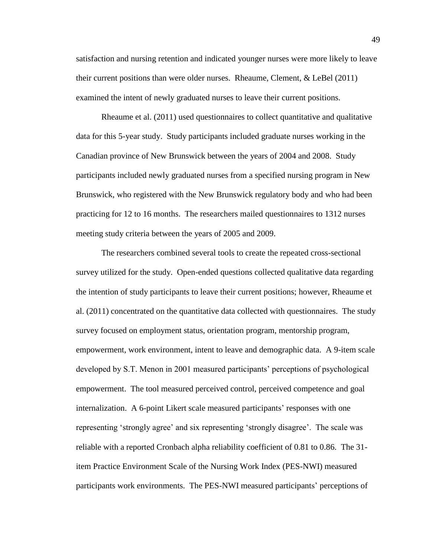satisfaction and nursing retention and indicated younger nurses were more likely to leave their current positions than were older nurses. Rheaume, Clement, & LeBel (2011) examined the intent of newly graduated nurses to leave their current positions.

Rheaume et al. (2011) used questionnaires to collect quantitative and qualitative data for this 5-year study. Study participants included graduate nurses working in the Canadian province of New Brunswick between the years of 2004 and 2008. Study participants included newly graduated nurses from a specified nursing program in New Brunswick, who registered with the New Brunswick regulatory body and who had been practicing for 12 to 16 months. The researchers mailed questionnaires to 1312 nurses meeting study criteria between the years of 2005 and 2009.

The researchers combined several tools to create the repeated cross-sectional survey utilized for the study. Open-ended questions collected qualitative data regarding the intention of study participants to leave their current positions; however, Rheaume et al. (2011) concentrated on the quantitative data collected with questionnaires. The study survey focused on employment status, orientation program, mentorship program, empowerment, work environment, intent to leave and demographic data. A 9-item scale developed by S.T. Menon in 2001 measured participants' perceptions of psychological empowerment. The tool measured perceived control, perceived competence and goal internalization. A 6-point Likert scale measured participants' responses with one representing 'strongly agree' and six representing 'strongly disagree'. The scale was reliable with a reported Cronbach alpha reliability coefficient of 0.81 to 0.86. The 31 item Practice Environment Scale of the Nursing Work Index (PES-NWI) measured participants work environments. The PES-NWI measured participants' perceptions of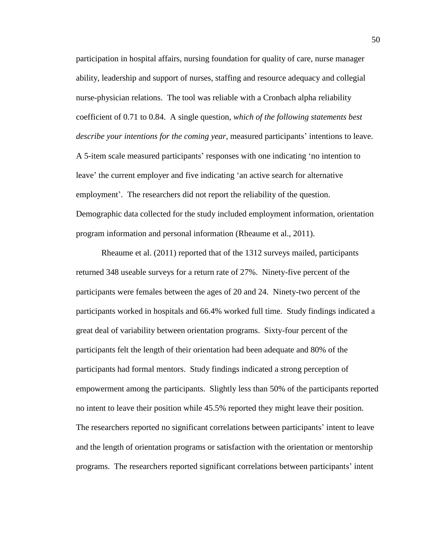participation in hospital affairs, nursing foundation for quality of care, nurse manager ability, leadership and support of nurses, staffing and resource adequacy and collegial nurse-physician relations. The tool was reliable with a Cronbach alpha reliability coefficient of 0.71 to 0.84. A single question, *which of the following statements best describe your intentions for the coming year,* measured participants' intentions to leave. A 5-item scale measured participants' responses with one indicating 'no intention to leave' the current employer and five indicating 'an active search for alternative employment'. The researchers did not report the reliability of the question. Demographic data collected for the study included employment information, orientation program information and personal information (Rheaume et al., 2011).

Rheaume et al. (2011) reported that of the 1312 surveys mailed, participants returned 348 useable surveys for a return rate of 27%. Ninety-five percent of the participants were females between the ages of 20 and 24. Ninety-two percent of the participants worked in hospitals and 66.4% worked full time. Study findings indicated a great deal of variability between orientation programs. Sixty-four percent of the participants felt the length of their orientation had been adequate and 80% of the participants had formal mentors. Study findings indicated a strong perception of empowerment among the participants. Slightly less than 50% of the participants reported no intent to leave their position while 45.5% reported they might leave their position. The researchers reported no significant correlations between participants' intent to leave and the length of orientation programs or satisfaction with the orientation or mentorship programs. The researchers reported significant correlations between participants' intent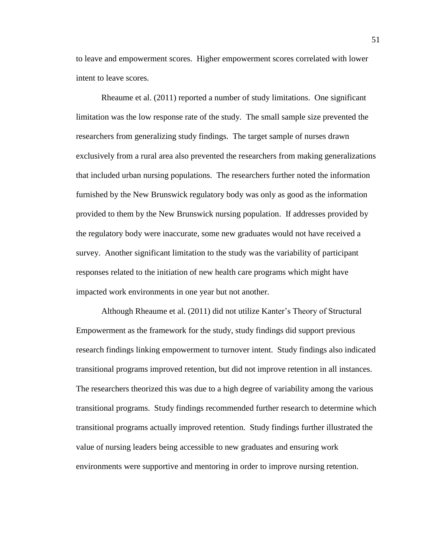to leave and empowerment scores. Higher empowerment scores correlated with lower intent to leave scores.

Rheaume et al. (2011) reported a number of study limitations. One significant limitation was the low response rate of the study. The small sample size prevented the researchers from generalizing study findings. The target sample of nurses drawn exclusively from a rural area also prevented the researchers from making generalizations that included urban nursing populations. The researchers further noted the information furnished by the New Brunswick regulatory body was only as good as the information provided to them by the New Brunswick nursing population. If addresses provided by the regulatory body were inaccurate, some new graduates would not have received a survey. Another significant limitation to the study was the variability of participant responses related to the initiation of new health care programs which might have impacted work environments in one year but not another.

Although Rheaume et al. (2011) did not utilize Kanter's Theory of Structural Empowerment as the framework for the study, study findings did support previous research findings linking empowerment to turnover intent. Study findings also indicated transitional programs improved retention, but did not improve retention in all instances. The researchers theorized this was due to a high degree of variability among the various transitional programs. Study findings recommended further research to determine which transitional programs actually improved retention. Study findings further illustrated the value of nursing leaders being accessible to new graduates and ensuring work environments were supportive and mentoring in order to improve nursing retention.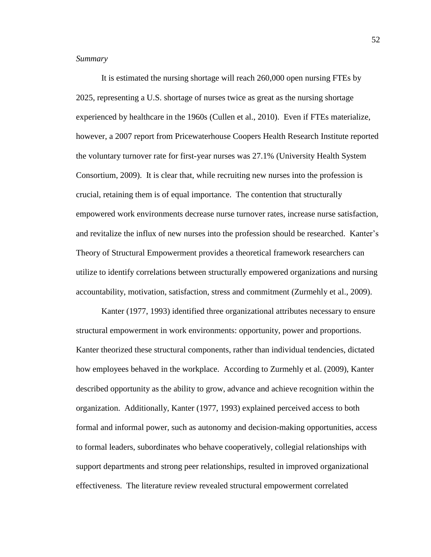# <span id="page-55-0"></span>*Summary*

It is estimated the nursing shortage will reach 260,000 open nursing FTEs by 2025, representing a U.S. shortage of nurses twice as great as the nursing shortage experienced by healthcare in the 1960s (Cullen et al., 2010). Even if FTEs materialize, however, a 2007 report from Pricewaterhouse Coopers Health Research Institute reported the voluntary turnover rate for first-year nurses was 27.1% (University Health System Consortium, 2009). It is clear that, while recruiting new nurses into the profession is crucial, retaining them is of equal importance. The contention that structurally empowered work environments decrease nurse turnover rates, increase nurse satisfaction, and revitalize the influx of new nurses into the profession should be researched. Kanter's Theory of Structural Empowerment provides a theoretical framework researchers can utilize to identify correlations between structurally empowered organizations and nursing accountability, motivation, satisfaction, stress and commitment (Zurmehly et al., 2009).

Kanter (1977, 1993) identified three organizational attributes necessary to ensure structural empowerment in work environments: opportunity, power and proportions. Kanter theorized these structural components, rather than individual tendencies, dictated how employees behaved in the workplace. According to Zurmehly et al. (2009), Kanter described opportunity as the ability to grow, advance and achieve recognition within the organization. Additionally, Kanter (1977, 1993) explained perceived access to both formal and informal power, such as autonomy and decision-making opportunities, access to formal leaders, subordinates who behave cooperatively, collegial relationships with support departments and strong peer relationships, resulted in improved organizational effectiveness. The literature review revealed structural empowerment correlated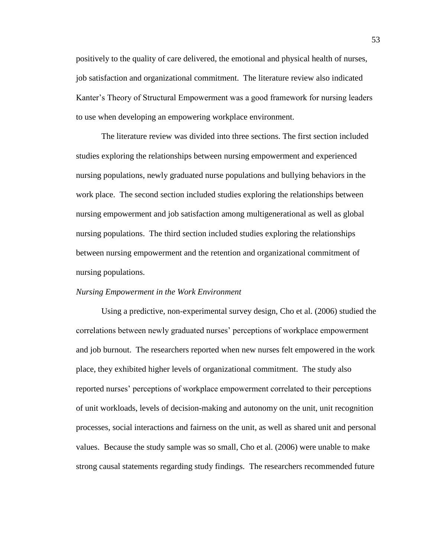positively to the quality of care delivered, the emotional and physical health of nurses, job satisfaction and organizational commitment. The literature review also indicated Kanter's Theory of Structural Empowerment was a good framework for nursing leaders to use when developing an empowering workplace environment.

The literature review was divided into three sections. The first section included studies exploring the relationships between nursing empowerment and experienced nursing populations, newly graduated nurse populations and bullying behaviors in the work place. The second section included studies exploring the relationships between nursing empowerment and job satisfaction among multigenerational as well as global nursing populations. The third section included studies exploring the relationships between nursing empowerment and the retention and organizational commitment of nursing populations.

#### <span id="page-56-0"></span>*Nursing Empowerment in the Work Environment*

Using a predictive, non-experimental survey design, Cho et al. (2006) studied the correlations between newly graduated nurses' perceptions of workplace empowerment and job burnout. The researchers reported when new nurses felt empowered in the work place, they exhibited higher levels of organizational commitment. The study also reported nurses' perceptions of workplace empowerment correlated to their perceptions of unit workloads, levels of decision-making and autonomy on the unit, unit recognition processes, social interactions and fairness on the unit, as well as shared unit and personal values. Because the study sample was so small, Cho et al. (2006) were unable to make strong causal statements regarding study findings. The researchers recommended future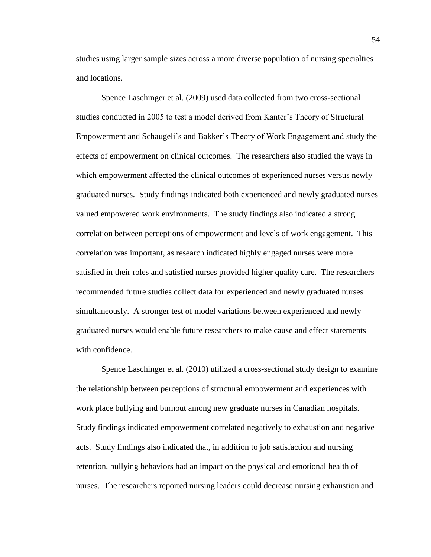studies using larger sample sizes across a more diverse population of nursing specialties and locations.

Spence Laschinger et al. (2009) used data collected from two cross-sectional studies conducted in 2005 to test a model derived from Kanter's Theory of Structural Empowerment and Schaugeli's and Bakker's Theory of Work Engagement and study the effects of empowerment on clinical outcomes. The researchers also studied the ways in which empowerment affected the clinical outcomes of experienced nurses versus newly graduated nurses. Study findings indicated both experienced and newly graduated nurses valued empowered work environments. The study findings also indicated a strong correlation between perceptions of empowerment and levels of work engagement. This correlation was important, as research indicated highly engaged nurses were more satisfied in their roles and satisfied nurses provided higher quality care. The researchers recommended future studies collect data for experienced and newly graduated nurses simultaneously. A stronger test of model variations between experienced and newly graduated nurses would enable future researchers to make cause and effect statements with confidence.

Spence Laschinger et al. (2010) utilized a cross-sectional study design to examine the relationship between perceptions of structural empowerment and experiences with work place bullying and burnout among new graduate nurses in Canadian hospitals. Study findings indicated empowerment correlated negatively to exhaustion and negative acts. Study findings also indicated that, in addition to job satisfaction and nursing retention, bullying behaviors had an impact on the physical and emotional health of nurses. The researchers reported nursing leaders could decrease nursing exhaustion and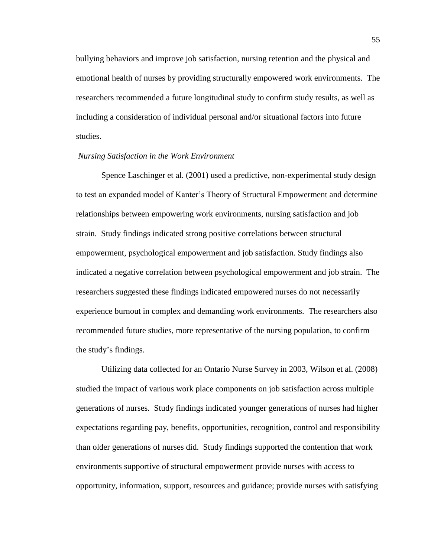bullying behaviors and improve job satisfaction, nursing retention and the physical and emotional health of nurses by providing structurally empowered work environments. The researchers recommended a future longitudinal study to confirm study results, as well as including a consideration of individual personal and/or situational factors into future studies.

#### <span id="page-58-0"></span>*Nursing Satisfaction in the Work Environment*

Spence Laschinger et al. (2001) used a predictive, non-experimental study design to test an expanded model of Kanter's Theory of Structural Empowerment and determine relationships between empowering work environments, nursing satisfaction and job strain. Study findings indicated strong positive correlations between structural empowerment, psychological empowerment and job satisfaction. Study findings also indicated a negative correlation between psychological empowerment and job strain. The researchers suggested these findings indicated empowered nurses do not necessarily experience burnout in complex and demanding work environments. The researchers also recommended future studies, more representative of the nursing population, to confirm the study's findings.

Utilizing data collected for an Ontario Nurse Survey in 2003, Wilson et al. (2008) studied the impact of various work place components on job satisfaction across multiple generations of nurses. Study findings indicated younger generations of nurses had higher expectations regarding pay, benefits, opportunities, recognition, control and responsibility than older generations of nurses did. Study findings supported the contention that work environments supportive of structural empowerment provide nurses with access to opportunity, information, support, resources and guidance; provide nurses with satisfying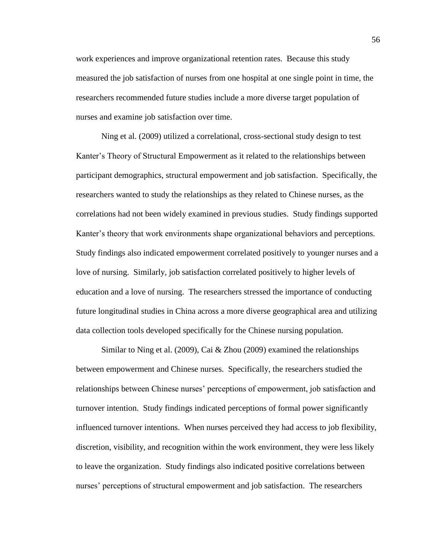work experiences and improve organizational retention rates. Because this study measured the job satisfaction of nurses from one hospital at one single point in time, the researchers recommended future studies include a more diverse target population of nurses and examine job satisfaction over time.

Ning et al. (2009) utilized a correlational, cross-sectional study design to test Kanter's Theory of Structural Empowerment as it related to the relationships between participant demographics, structural empowerment and job satisfaction. Specifically, the researchers wanted to study the relationships as they related to Chinese nurses, as the correlations had not been widely examined in previous studies. Study findings supported Kanter's theory that work environments shape organizational behaviors and perceptions. Study findings also indicated empowerment correlated positively to younger nurses and a love of nursing. Similarly, job satisfaction correlated positively to higher levels of education and a love of nursing. The researchers stressed the importance of conducting future longitudinal studies in China across a more diverse geographical area and utilizing data collection tools developed specifically for the Chinese nursing population.

Similar to Ning et al. (2009), Cai & Zhou (2009) examined the relationships between empowerment and Chinese nurses. Specifically, the researchers studied the relationships between Chinese nurses' perceptions of empowerment, job satisfaction and turnover intention. Study findings indicated perceptions of formal power significantly influenced turnover intentions. When nurses perceived they had access to job flexibility, discretion, visibility, and recognition within the work environment, they were less likely to leave the organization. Study findings also indicated positive correlations between nurses' perceptions of structural empowerment and job satisfaction. The researchers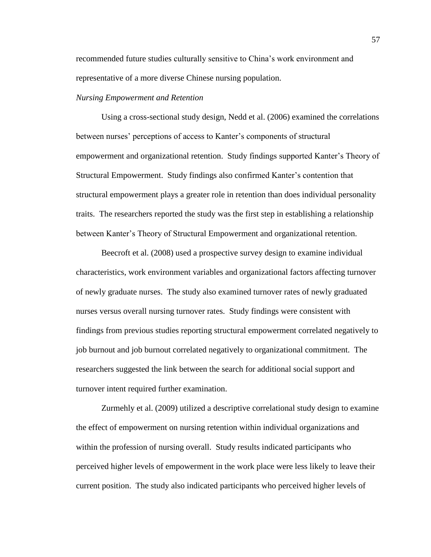recommended future studies culturally sensitive to China's work environment and representative of a more diverse Chinese nursing population.

#### <span id="page-60-0"></span>*Nursing Empowerment and Retention*

Using a cross-sectional study design, Nedd et al. (2006) examined the correlations between nurses' perceptions of access to Kanter's components of structural empowerment and organizational retention. Study findings supported Kanter's Theory of Structural Empowerment. Study findings also confirmed Kanter's contention that structural empowerment plays a greater role in retention than does individual personality traits. The researchers reported the study was the first step in establishing a relationship between Kanter's Theory of Structural Empowerment and organizational retention.

Beecroft et al. (2008) used a prospective survey design to examine individual characteristics, work environment variables and organizational factors affecting turnover of newly graduate nurses. The study also examined turnover rates of newly graduated nurses versus overall nursing turnover rates. Study findings were consistent with findings from previous studies reporting structural empowerment correlated negatively to job burnout and job burnout correlated negatively to organizational commitment. The researchers suggested the link between the search for additional social support and turnover intent required further examination.

Zurmehly et al. (2009) utilized a descriptive correlational study design to examine the effect of empowerment on nursing retention within individual organizations and within the profession of nursing overall. Study results indicated participants who perceived higher levels of empowerment in the work place were less likely to leave their current position. The study also indicated participants who perceived higher levels of

57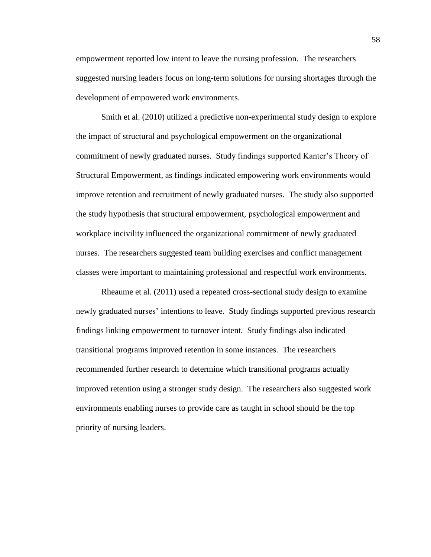empowerment reported low intent to leave the nursing profession. The researchers suggested nursing leaders focus on long-term solutions for nursing shortages through the development of empowered work environments.

Smith et al. (2010) utilized a predictive non-experimental study design to explore the impact of structural and psychological empowerment on the organizational commitment of newly graduated nurses. Study findings supported Kanter's Theory of Structural Empowerment, as findings indicated empowering work environments would improve retention and recruitment of newly graduated nurses. The study also supported the study hypothesis that structural empowerment, psychological empowerment and workplace incivility influenced the organizational commitment of newly graduated nurses. The researchers suggested team building exercises and conflict management classes were important to maintaining professional and respectful work environments.

Rheaume et al. (2011) used a repeated cross-sectional study design to examine newly graduated nurses' intentions to leave. Study findings supported previous research findings linking empowerment to turnover intent. Study findings also indicated transitional programs improved retention in some instances. The researchers recommended further research to determine which transitional programs actually improved retention using a stronger study design. The researchers also suggested work environments enabling nurses to provide care as taught in school should be the top priority of nursing leaders.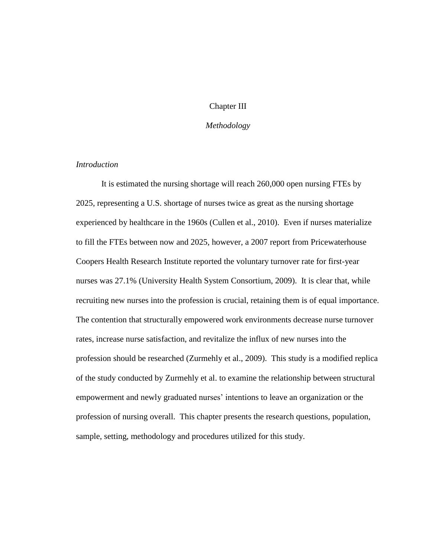# Chapter III

# *Methodology*

# <span id="page-62-1"></span><span id="page-62-0"></span>*Introduction*

It is estimated the nursing shortage will reach 260,000 open nursing FTEs by 2025, representing a U.S. shortage of nurses twice as great as the nursing shortage experienced by healthcare in the 1960s (Cullen et al., 2010). Even if nurses materialize to fill the FTEs between now and 2025, however, a 2007 report from Pricewaterhouse Coopers Health Research Institute reported the voluntary turnover rate for first-year nurses was 27.1% (University Health System Consortium, 2009). It is clear that, while recruiting new nurses into the profession is crucial, retaining them is of equal importance. The contention that structurally empowered work environments decrease nurse turnover rates, increase nurse satisfaction, and revitalize the influx of new nurses into the profession should be researched (Zurmehly et al., 2009). This study is a modified replica of the study conducted by Zurmehly et al. to examine the relationship between structural empowerment and newly graduated nurses' intentions to leave an organization or the profession of nursing overall. This chapter presents the research questions, population, sample, setting, methodology and procedures utilized for this study.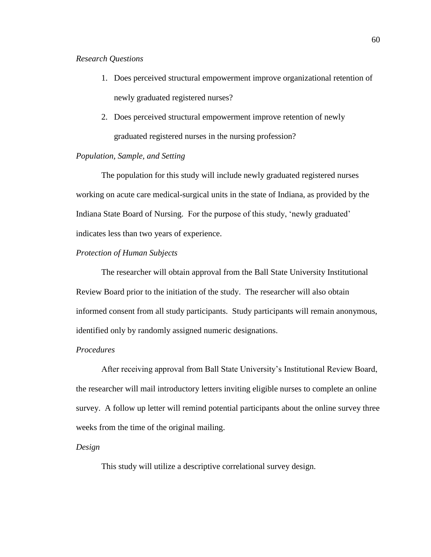# <span id="page-63-0"></span>*Research Questions*

- 1. Does perceived structural empowerment improve organizational retention of newly graduated registered nurses?
- 2. Does perceived structural empowerment improve retention of newly graduated registered nurses in the nursing profession?

#### <span id="page-63-1"></span>*Population, Sample, and Setting*

The population for this study will include newly graduated registered nurses working on acute care medical-surgical units in the state of Indiana, as provided by the Indiana State Board of Nursing. For the purpose of this study, 'newly graduated' indicates less than two years of experience.

# <span id="page-63-2"></span>*Protection of Human Subjects*

The researcher will obtain approval from the Ball State University Institutional Review Board prior to the initiation of the study. The researcher will also obtain informed consent from all study participants. Study participants will remain anonymous, identified only by randomly assigned numeric designations.

# <span id="page-63-3"></span>*Procedures*

After receiving approval from Ball State University's Institutional Review Board, the researcher will mail introductory letters inviting eligible nurses to complete an online survey. A follow up letter will remind potential participants about the online survey three weeks from the time of the original mailing.

# <span id="page-63-4"></span>*Design*

This study will utilize a descriptive correlational survey design.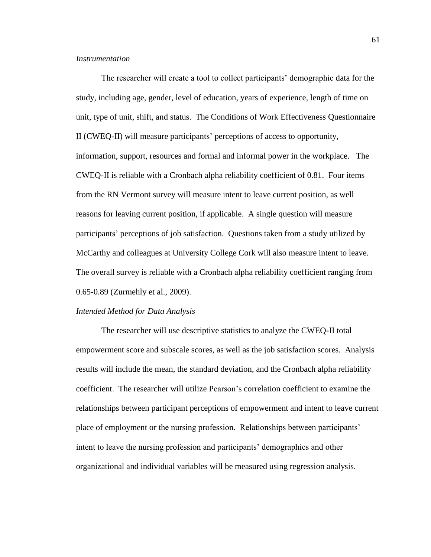#### <span id="page-64-0"></span>*Instrumentation*

The researcher will create a tool to collect participants' demographic data for the study, including age, gender, level of education, years of experience, length of time on unit, type of unit, shift, and status. The Conditions of Work Effectiveness Questionnaire II (CWEQ-II) will measure participants' perceptions of access to opportunity, information, support, resources and formal and informal power in the workplace. The CWEQ-II is reliable with a Cronbach alpha reliability coefficient of 0.81. Four items from the RN Vermont survey will measure intent to leave current position, as well reasons for leaving current position, if applicable. A single question will measure participants' perceptions of job satisfaction. Questions taken from a study utilized by McCarthy and colleagues at University College Cork will also measure intent to leave. The overall survey is reliable with a Cronbach alpha reliability coefficient ranging from 0.65-0.89 (Zurmehly et al., 2009).

# <span id="page-64-1"></span>*Intended Method for Data Analysis*

The researcher will use descriptive statistics to analyze the CWEQ-II total empowerment score and subscale scores, as well as the job satisfaction scores. Analysis results will include the mean, the standard deviation, and the Cronbach alpha reliability coefficient. The researcher will utilize Pearson's correlation coefficient to examine the relationships between participant perceptions of empowerment and intent to leave current place of employment or the nursing profession. Relationships between participants' intent to leave the nursing profession and participants' demographics and other organizational and individual variables will be measured using regression analysis.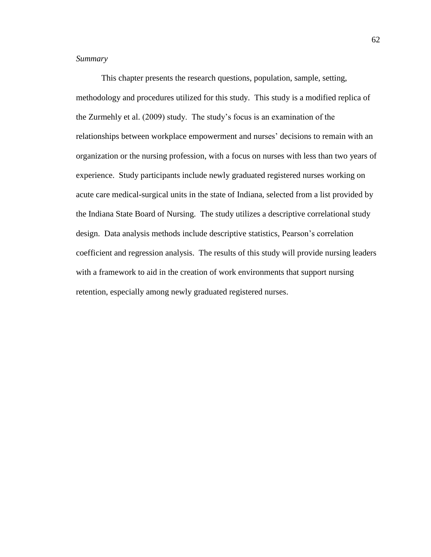# <span id="page-65-0"></span>*Summary*

This chapter presents the research questions, population, sample, setting, methodology and procedures utilized for this study. This study is a modified replica of the Zurmehly et al. (2009) study. The study's focus is an examination of the relationships between workplace empowerment and nurses' decisions to remain with an organization or the nursing profession, with a focus on nurses with less than two years of experience. Study participants include newly graduated registered nurses working on acute care medical-surgical units in the state of Indiana, selected from a list provided by the Indiana State Board of Nursing. The study utilizes a descriptive correlational study design. Data analysis methods include descriptive statistics, Pearson's correlation coefficient and regression analysis. The results of this study will provide nursing leaders with a framework to aid in the creation of work environments that support nursing retention, especially among newly graduated registered nurses.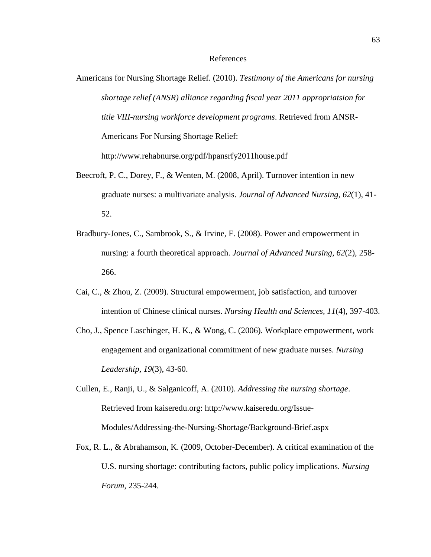#### References

- Americans for Nursing Shortage Relief. (2010). *Testimony of the Americans for nursing shortage relief (ANSR) alliance regarding fiscal year 2011 appropriatsion for title VIII-nursing workforce development programs*. Retrieved from ANSR-Americans For Nursing Shortage Relief: http://www.rehabnurse.org/pdf/hpansrfy2011house.pdf
- Beecroft, P. C., Dorey, F., & Wenten, M. (2008, April). Turnover intention in new graduate nurses: a multivariate analysis. *Journal of Advanced Nursing, 62*(1), 41- 52.
- Bradbury-Jones, C., Sambrook, S., & Irvine, F. (2008). Power and empowerment in nursing: a fourth theoretical approach. *Journal of Advanced Nursing, 62*(2), 258- 266.
- Cai, C., & Zhou, Z. (2009). Structural empowerment, job satisfaction, and turnover intention of Chinese clinical nurses. *Nursing Health and Sciences, 11*(4), 397-403.
- Cho, J., Spence Laschinger, H. K., & Wong, C. (2006). Workplace empowerment, work engagement and organizational commitment of new graduate nurses. *Nursing Leadership, 19*(3), 43-60.
- Cullen, E., Ranji, U., & Salganicoff, A. (2010). *Addressing the nursing shortage*. Retrieved from kaiseredu.org: http://www.kaiseredu.org/Issue-Modules/Addressing-the-Nursing-Shortage/Background-Brief.aspx
- Fox, R. L., & Abrahamson, K. (2009, October-December). A critical examination of the U.S. nursing shortage: contributing factors, public policy implications. *Nursing Forum*, 235-244.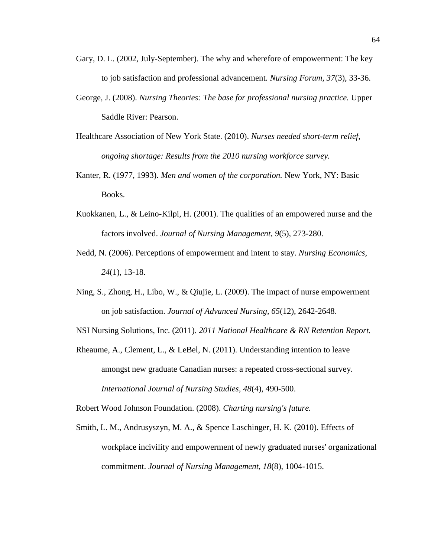- Gary, D. L. (2002, July-September). The why and wherefore of empowerment: The key to job satisfaction and professional advancement. *Nursing Forum, 37*(3), 33-36.
- George, J. (2008). *Nursing Theories: The base for professional nursing practice.* Upper Saddle River: Pearson.
- Healthcare Association of New York State. (2010). *Nurses needed short-term relief, ongoing shortage: Results from the 2010 nursing workforce survey.*
- Kanter, R. (1977, 1993). *Men and women of the corporation.* New York, NY: Basic Books.
- Kuokkanen, L., & Leino-Kilpi, H. (2001). The qualities of an empowered nurse and the factors involved. *Journal of Nursing Management, 9*(5), 273-280.
- Nedd, N. (2006). Perceptions of empowerment and intent to stay. *Nursing Economics, 24*(1), 13-18.
- Ning, S., Zhong, H., Libo, W., & Qiujie, L. (2009). The impact of nurse empowerment on job satisfaction. *Journal of Advanced Nursing, 65*(12), 2642-2648.

NSI Nursing Solutions, Inc. (2011). *2011 National Healthcare & RN Retention Report.*

Rheaume, A., Clement, L., & LeBel, N. (2011). Understanding intention to leave amongst new graduate Canadian nurses: a repeated cross-sectional survey. *International Journal of Nursing Studies, 48*(4), 490-500.

Robert Wood Johnson Foundation. (2008). *Charting nursing's future.*

Smith, L. M., Andrusyszyn, M. A., & Spence Laschinger, H. K. (2010). Effects of workplace incivility and empowerment of newly graduated nurses' organizational commitment. *Journal of Nursing Management, 18*(8), 1004-1015.